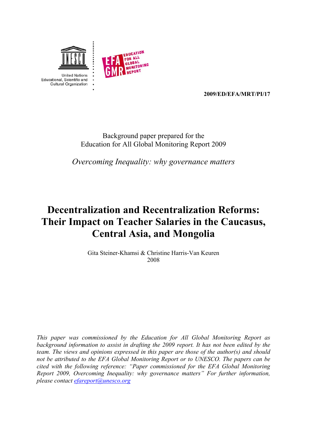



**2009/ED/EFA/MRT/PI/17** 

## Background paper prepared for the Education for All Global Monitoring Report 2009

*Overcoming Inequality: why governance matters*

## **Decentralization and Recentralization Reforms: Their Impact on Teacher Salaries in the Caucasus, Central Asia, and Mongolia**

Gita Steiner-Khamsi & Christine Harris-Van Keuren 2008

*This paper was commissioned by the Education for All Global Monitoring Report as background information to assist in drafting the 2009 report. It has not been edited by the team. The views and opinions expressed in this paper are those of the author(s) and should not be attributed to the EFA Global Monitoring Report or to UNESCO. The papers can be cited with the following reference: "Paper commissioned for the EFA Global Monitoring Report 2009, Overcoming Inequality: why governance matters" For further information, please contact [efareport@unesco.org](mailto:efareport@unesco.org)*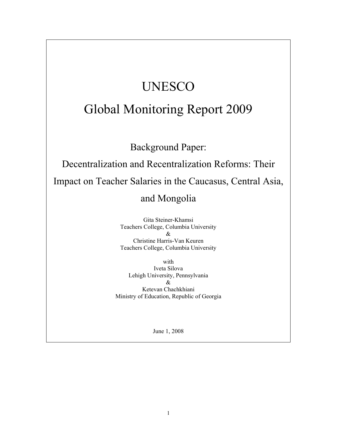# UNESCO

## Global Monitoring Report 2009

Background Paper:

Decentralization and Recentralization Reforms: Their Impact on Teacher Salaries in the Caucasus, Central Asia,

## and Mongolia

Gita Steiner-Khamsi Teachers College, Columbia University & Christine Harris-Van Keuren Teachers College, Columbia University

with Iveta Silova Lehigh University, Pennsylvania & Ketevan Chachkhiani Ministry of Education, Republic of Georgia

June 1, 2008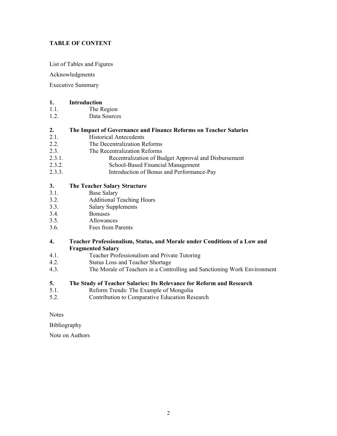#### **TABLE OF CONTENT**

List of Tables and Figures

Acknowledgments

Executive Summary

#### **[1. Introduction](#page-8-0)**

- 1.1. The Region
- 1.2. Data Sources

#### **[2. The Impact of Governance and Finance Reforms on Teacher Salaries](#page-14-0)**

- 2.1. Historical Antecedents
- 2.2. The Decentralization Reforms
- 2.3. The Recentralization Reforms
- 2.3.1. Recentralization of Budget Approval and Disbursement
- 2.3.2. School-Based Financial Management
- 2.3.3. Introduction of Bonus and Performance-Pay

#### **[3. The Teacher Salary Structure](#page-24-0)**

- 3.1. Base Salary
- 3.2. Additional Teaching Hours
- 3.3. Salary Supplements
- 3.4. Bonuses
- 3.5. Allowances
- 3.6. Fees from Parents

#### **[4. Teacher Professionalism, Status, and Morale under Conditions of a Low and](#page-33-0)  Fragmented Salary**

- 4.1. Teacher Professionalism and Private Tutoring
- 4.2. Status Loss and Teacher Shortage
- 4.3. The Morale of Teachers in a Controlling and Sanctioning Work Environment

#### **[5. The Study of Teacher Salaries: Its Relevance for Reform and Research](#page-41-0)**

- 5.1. Reform Trends: The Example of Mongolia
- 5.2. Contribution to Comparative Education Research

**Notes** 

[Bibliography](#page-47-0) 

[Note on Authors](#page-50-0)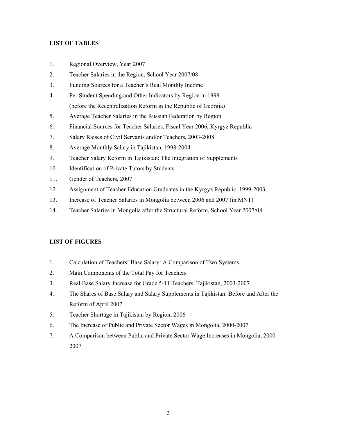#### <span id="page-3-1"></span>**LIST OF TABLES**

- <span id="page-3-0"></span>1. Regional Overview, Year 2007
- 2. Teacher Salaries in the Region, School Year 2007/08
- 3. Funding Sources for a Teacher's Real Monthly Income
- 4. Per Student Spending and Other Indicators by Region in 1999 (before the Recentralization Reform in the Republic of Georgia)
- 5. Average Teacher Salaries in the Russian Federation by Region
- 6. Financial Sources for Teacher Salaries, Fiscal Year 2006, Kyrgyz Republic
- 7. Salary Raises of Civil Servants and/or Teachers, 2003-2008
- 8. Average Monthly Salary in Tajikistan, 1998-2004
- 9. Teacher Salary Reform in Tajikistan: The Integration of Supplements
- 10. Identification of Private Tutors by Students
- 11. Gender of Teachers, 2007
- 12. Assignment of Teacher Education Graduates in the Kyrgyz Republic, 1999-2003
- 13. Increase of Teacher Salaries in Mongolia between 2006 and 2007 (in MNT)
- 14. Teacher Salaries in Mongolia after the Structural Reform, School Year 2007/08

#### **LIST OF FIGURES**

- 1. Calculation of Teachers' Base Salary: A Comparison of Two Systems
- 2. Main Components of the Total Pay for Teachers
- 3. Real Base Salary Increase for Grade 5-11 Teachers, Tajikistan, 2003-2007
- 4. The Shares of Base Salary and Salary Supplements in Tajikistan: Before and After the Reform of April 2007
- 5. Teacher Shortage in Tajikistan by Region, 2006
- 6. The Increase of Public and Private Sector Wages in Mongolia, 2000-2007
- 7. A Comparison between Public and Private Sector Wage Increases in Mongolia, 2000- 2007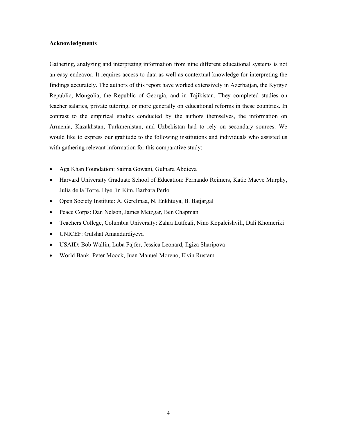#### <span id="page-4-0"></span>**Acknowledgments**

Gathering, analyzing and interpreting information from nine different educational systems is not an easy endeavor. It requires access to data as well as contextual knowledge for interpreting the findings accurately. The authors of this report have worked extensively in Azerbaijan, the Kyrgyz Republic, Mongolia, the Republic of Georgia, and in Tajikistan. They completed studies on teacher salaries, private tutoring, or more generally on educational reforms in these countries. In contrast to the empirical studies conducted by the authors themselves, the information on Armenia, Kazakhstan, Turkmenistan, and Uzbekistan had to rely on secondary sources. We would like to express our gratitude to the following institutions and individuals who assisted us with gathering relevant information for this comparative study:

- Aga Khan Foundation: Saima Gowani, Gulnara Abdieva
- Harvard University Graduate School of Education: Fernando Reimers, Katie Maeve Murphy, Julia de la Torre, Hye Jin Kim, Barbara Perlo
- Open Society Institute: A. Gerelmaa, N. Enkhtuya, B. Batjargal
- Peace Corps: Dan Nelson, James Metzgar, Ben Chapman
- Teachers College, Columbia University: Zahra Lutfeali, Nino Kopaleishvili, Dali Khomeriki
- UNICEF: Gulshat Amandurdiyeva
- USAID: Bob Wallin, Luba Fajfer, Jessica Leonard, Ilgiza Sharipova
- World Bank: Peter Moock, Juan Manuel Moreno, Elvin Rustam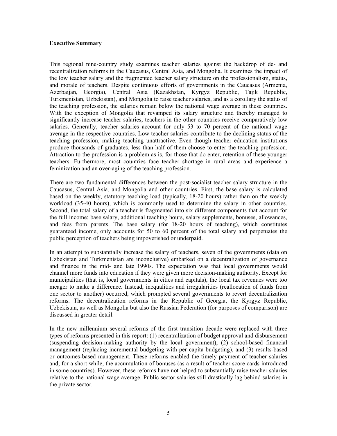#### <span id="page-5-0"></span>**Executive Summary**

This regional nine-country study examines teacher salaries against the backdrop of de- and recentralization reforms in the Caucasus, Central Asia, and Mongolia. It examines the impact of the low teacher salary and the fragmented teacher salary structure on the professionalism, status, and morale of teachers. Despite continuous efforts of governments in the Caucasus (Armenia, Azerbaijan, Georgia), Central Asia (Kazakhstan, Kyrgyz Republic, Tajik Republic, Turkmenistan, Uzbekistan), and Mongolia to raise teacher salaries, and as a corollary the status of the teaching profession, the salaries remain below the national wage average in these countries. With the exception of Mongolia that revamped its salary structure and thereby managed to significantly increase teacher salaries, teachers in the other countries receive comparatively low salaries. Generally, teacher salaries account for only 53 to 70 percent of the national wage average in the respective countries. Low teacher salaries contribute to the declining status of the teaching profession, making teaching unattractive. Even though teacher education institutions produce thousands of graduates, less than half of them choose to enter the teaching profession. Attraction to the profession is a problem as is, for those that do enter, retention of these younger teachers. Furthermore, most countries face teacher shortage in rural areas and experience a feminization and an over-aging of the teaching profession.

There are two fundamental differences between the post-socialist teacher salary structure in the Caucasus, Central Asia, and Mongolia and other countries. First, the base salary is calculated based on the weekly, statutory teaching load (typically, 18-20 hours) rather than on the weekly workload (35-40 hours), which is commonly used to determine the salary in other countries. Second, the total salary of a teacher is fragmented into six different components that account for the full income: base salary, additional teaching hours, salary supplements, bonuses, allowances, and fees from parents. The base salary (for 18-20 hours of teaching), which constitutes guaranteed income, only accounts for 50 to 60 percent of the total salary and perpetuates the public perception of teachers being impoverished or underpaid.

In an attempt to substantially increase the salary of teachers, seven of the governments (data on Uzbekistan and Turkmenistan are inconclusive) embarked on a decentralization of governance and finance in the mid- and late 1990s. The expectation was that local governments would channel more funds into education if they were given more decision-making authority. Except for municipalities (that is, local governments in cities and capitals), the local tax revenues were too meager to make a difference. Instead, inequalities and irregularities (reallocation of funds from one sector to another) occurred, which prompted several governments to revert decentralization reforms. The decentralization reforms in the Republic of Georgia, the Kyrgyz Republic, Uzbekistan, as well as Mongolia but also the Russian Federation (for purposes of comparison) are discussed in greater detail.

In the new millennium several reforms of the first transition decade were replaced with three types of reforms presented in this report: (1) recentralization of budget approval and disbursement (suspending decision-making authority by the local government), (2) school-based financial management (replacing incremental budgeting with per capita budgeting), and (3) results-based or outcomes-based management. These reforms enabled the timely payment of teacher salaries and, for a short while, the accumulation of bonuses (as a result of teacher score cards introduced in some countries). However, these reforms have not helped to substantially raise teacher salaries relative to the national wage average. Public sector salaries still drastically lag behind salaries in the private sector.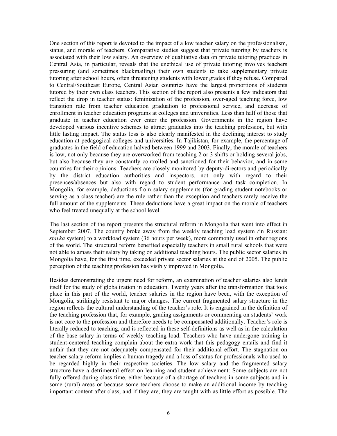One section of this report is devoted to the impact of a low teacher salary on the professionalism, status, and morale of teachers. Comparative studies suggest that private tutoring by teachers is associated with their low salary. An overview of qualitative data on private tutoring practices in Central Asia, in particular, reveals that the unethical use of private tutoring involves teachers pressuring (and sometimes blackmailing) their own students to take supplementary private tutoring after school hours, often threatening students with lower grades if they refuse. Compared to Central/Southeast Europe, Central Asian countries have the largest proportions of students tutored by their own class teachers. This section of the report also presents a few indicators that reflect the drop in teacher status: feminization of the profession, over-aged teaching force, low transition rate from teacher education graduation to professional service, and decrease of enrollment in teacher education programs at colleges and universities. Less than half of those that graduate in teacher education ever enter the profession. Governments in the region have developed various incentive schemes to attract graduates into the teaching profession, but with little lasting impact. The status loss is also clearly manifested in the declining interest to study education at pedagogical colleges and universities. In Tajikistan, for example, the percentage of graduates in the field of education halved between 1999 and 2003. Finally, the morale of teachers is low, not only because they are overworked from teaching 2 or 3 shifts or holding several jobs, but also because they are constantly controlled and sanctioned for their behavior, and in some countries for their opinions. Teachers are closely monitored by deputy-directors and periodically by the district education authorities and inspectors, not only with regard to their presences/absences but also with regard to student performance and task completion. In Mongolia, for example, deductions from salary supplements (for grading student notebooks or serving as a class teacher) are the rule rather than the exception and teachers rarely receive the full amount of the supplements. These deductions have a great impact on the morale of teachers who feel treated unequally at the school level.

The last section of the report presents the structural reform in Mongolia that went into effect in September 2007. The country broke away from the weekly teaching load system *(*in Russian: *stavka* system) to a workload system (36 hours per week), more commonly used in other regions of the world. The structural reform benefited especially teachers in small rural schools that were not able to amass their salary by taking on additional teaching hours. The public sector salaries in Mongolia have, for the first time, exceeded private sector salaries at the end of 2005. The public perception of the teaching profession has visibly improved in Mongolia.

Besides demonstrating the urgent need for reform, an examination of teacher salaries also lends itself for the study of globalization in education. Twenty years after the transformation that took place in this part of the world, teacher salaries in the region have been, with the exception of Mongolia, strikingly resistant to major changes. The current fragmented salary structure in the region reflects the cultural understanding of the teacher's role. It is engrained in the definition of the teaching profession that, for example, grading assignments or commenting on students' work is not core to the profession and therefore needs to be compensated additionally. Teacher's role is literally reduced to teaching, and is reflected in these self-definitions as well as in the calculation of the base salary in terms of weekly teaching load. Teachers who have undergone training in student-centered teaching complain about the extra work that this pedagogy entails and find it unfair that they are not adequately compensated for their additional effort. The stagnation on teacher salary reform implies a human tragedy and a loss of status for professionals who used to be regarded highly in their respective societies. The low salary and the fragmented salary structure have a detrimental effect on learning and student achievement: Some subjects are not fully offered during class time, either because of a shortage of teachers in some subjects and in some (rural) areas or because some teachers choose to make an additional income by teaching important content after class, and if they are, they are taught with as little effort as possible. The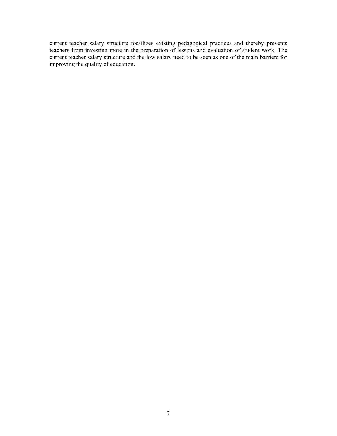current teacher salary structure fossilizes existing pedagogical practices and thereby prevents teachers from investing more in the preparation of lessons and evaluation of student work. The current teacher salary structure and the low salary need to be seen as one of the main barriers for improving the quality of education.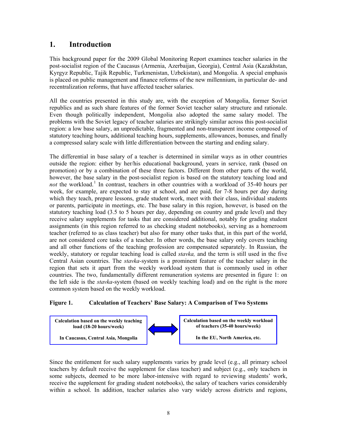## **1. Introduction**

This background paper for the 2009 Global Monitoring Report examines teacher salaries in the post-socialist region of the Caucasus (Armenia, Azerbaijan, Georgia), Central Asia (Kazakhstan, Kyrgyz Republic, Tajik Republic, Turkmenistan, Uzbekistan), and Mongolia. A special emphasis is placed on public management and finance reforms of the new millennium, in particular de- and recentralization reforms, that have affected teacher salaries.

All the countries presented in this study are, with the exception of Mongolia, former Soviet republics and as such share features of the former Soviet teacher salary structure and rationale. Even though politically independent, Mongolia also adopted the same salary model. The problems with the Soviet legacy of teacher salaries are strikingly similar across this post-socialist region: a low base salary, an unpredictable, fragmented and non-transparent income composed of statutory teaching hours, additional teaching hours, supplements, allowances, bonuses, and finally a compressed salary scale with little differentiation between the starting and ending salary.

The differential in base salary of a teacher is determined in similar ways as in other countries outside the region: either by her/his educational background, years in service, rank (based on promotion) or by a combination of these three factors. Different from other parts of the world, however, the base salary in the post-socialist region is based on the statutory teaching load and not the workload.<sup>[1](#page-3-0)</sup> In contrast, teachers in other countries with a workload of 35-40 hours per week, for example, are expected to stay at school, and are paid, for 7-8 hours per day during which they teach, prepare lessons, grade student work, meet with their class, individual students or parents, participate in meetings, etc. The base salary in this region, however, is based on the statutory teaching load (3.5 to 5 hours per day, depending on country and grade level) and they receive salary supplements for tasks that are considered additional, notably for grading student assignments (in this region referred to as checking student notebooks), serving as a homeroom teacher (referred to as class teacher) but also for many other tasks that, in this part of the world, are not considered core tasks of a teacher. In other words, the base salary only covers teaching and all other functions of the teaching profession are compensated separately. In Russian, the weekly, statutory or regular teaching load is called *stavka,* and the term is still used in the five Central Asian countries. The *stavka-*system is a prominent feature of the teacher salary in the region that sets it apart from the weekly workload system that is commonly used in other countries. The two, fundamentally different remuneration systems are presented in figure 1: on the left side is the *stavka*-system (based on weekly teaching load) and on the right is the more common system based on the weekly workload.

#### **Figure 1. Calculation of Teachers' Base Salary: A Comparison of Two Systems**



<span id="page-8-0"></span>Since the entitlement for such salary supplements varies by grade level (e.g., all primary school teachers by default receive the supplement for class teacher) and subject (e.g., only teachers in some subjects, deemed to be more labor-intensive with regard to reviewing students' work, receive the supplement for grading student notebooks), the salary of teachers varies considerably within a school. In addition, teacher salaries also vary widely across districts and regions,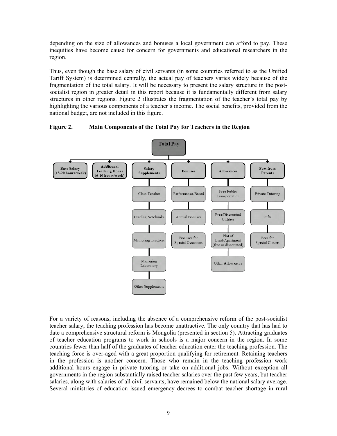depending on the size of allowances and bonuses a local government can afford to pay. These inequities have become cause for concern for governments and educational researchers in the region.

Thus, even though the base salary of civil servants (in some countries referred to as the Unified Tariff System) is determined centrally, the actual pay of teachers varies widely because of the fragmentation of the total salary. It will be necessary to present the salary structure in the postsocialist region in greater detail in this report because it is fundamentally different from salary structures in other regions. Figure 2 illustrates the fragmentation of the teacher's total pay by highlighting the various components of a teacher's income. The social benefits, provided from the national budget, are not included in this figure.

**Figure 2. Main Components of the Total Pay for Teachers in the Region** 



For a variety of reasons, including the absence of a comprehensive reform of the post-socialist teacher salary, the teaching profession has become unattractive. The only country that has had to date a comprehensive structural reform is Mongolia (presented in section 5). Attracting graduates of teacher education programs to work in schools is a major concern in the region. In some countries fewer than half of the graduates of teacher education enter the teaching profession. The teaching force is over-aged with a great proportion qualifying for retirement. Retaining teachers in the profession is another concern. Those who remain in the teaching profession work additional hours engage in private tutoring or take on additional jobs. Without exception all governments in the region substantially raised teacher salaries over the past few years, but teacher salaries, along with salaries of all civil servants, have remained below the national salary average. Several ministries of education issued emergency decrees to combat teacher shortage in rural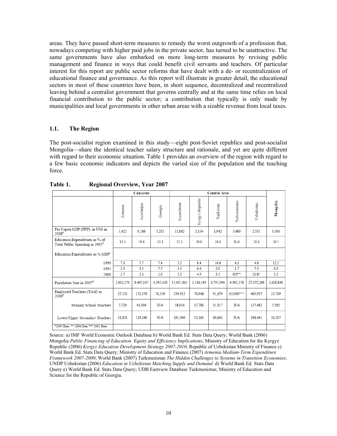areas. They have passed short-term measures to remedy the worst outgrowth of a profession that, nowadays competing with higher paid jobs in the private sector, has turned to be unattractive. The same governments have also embarked on more long-term measures by revising public management and finance in ways that could benefit civil servants and teachers. Of particular interest for this report are public sector reforms that have dealt with a de- or recentralization of educational finance and governance. As this report will illustrate in greater detail, the educational sectors in most of these countries have been, in short sequence, decentralized and recentralized leaving behind a centralist government that governs centrally and at the same time relies on local financial contribution to the public sector; a contribution that typically is only made by municipalities and local governments in other urban areas with a sizable revenue from local taxes.

#### **1.1. The Region**

The post-socialist region examined in this study—eight post-Soviet republics and post-socialist Mongolia—share the identical teacher salary structure and rationale, and yet are quite different with regard to their economic situation. Table 1 provides an overview of the region with regard to a few basic economic indicators and depicts the varied size of the population and the teaching force.

|                                                                              |           | Caucasus   |           |            |                 |            |              |            |           |
|------------------------------------------------------------------------------|-----------|------------|-----------|------------|-----------------|------------|--------------|------------|-----------|
|                                                                              | Armenia   | Azerbaijan | Georgia   | Kazakhstan | Kyrgyz Republic | Tajikistan | Turkmenistan | Uzbekistan | Mongolia  |
| Per Capita GDP (PPP), in US\$ in<br>2008 <sup>a</sup>                        | 5.422     | 9.186      | 5.252     | 11.862     | 2.156           | 1.942      | 5.663        | 2.551      | 3.504     |
| Education Expenditures as % of<br>Total Public Spending in 2005 <sup>b</sup> | 13.5      | 19.6       | 13.1      | 12.1       | 20.0            | 18.0       | N/A          | 20.0       | 20.7      |
| Education Expenditures as % GDP <sup>c</sup>                                 |           |            |           |            |                 |            |              |            |           |
| 1990                                                                         | 7.0       | 7.7        | 7.4       | 3.2        | 8.4             | 10.8       | 4.3          | 4.0        | 12.3      |
| 1995                                                                         | 2.0       | 3.5        | 7.7       | 4.5        | 6.6             | 2.0        | 1.7          | 7.4        | 6.3       |
| 2006                                                                         | 2.7       | 2.1        | 2.9       | 2.3        | 4.9             | 3.5        | $6.9**$      | $10.8*$    | 5.2       |
| Population Size in 2007 <sup>d</sup>                                         | 3,002,271 | 8,467,167  | 4,395,420 | 15,421,861 | 5,316,543       | 6,735,996  | 4,965,278    | 27,372,260 | 2,628,840 |
| Employed Teachers (Total) in<br>2006 <sup>e</sup>                            | 37.551    | 172.176    | 76.339    | 239.923    | 70.946          | 91.679     | 65.000***    | 465.927    | 23.769    |
| Primary School Teachers                                                      | 5.720     | 43.036     | N/A       | 58.014     | 17.781          | 31.017     | N/A          | 117.482    | 7,562     |
| Lower/Upper Secondary Teachers                                               | 31.831    | 129,140    | N/A       | 181.909    | 53.165          | 60.662     | N/A          | 348,445    | 16,207    |
| *2005 Data ** 2004 Data *** 2003 Data                                        |           |            |           |            |                 |            |              |            |           |

**Table 1. Regional Overview, Year 2007** 

Source: a) IMF World Economic Outlook Database b) World Bank Ed. Stats Data Query; World Bank (2006) Mongolia *Public Financing of Education. Equity and Efficiency Implications*; Ministry of Education for the Kyrgyz Republic (2006) *Kyrgyz Education Development Strategy 2007-2010*; Republic of Uzbekistan Ministry of Finance c) World Bank Ed. Stats Data Query; Ministry of Education and Finance (2007) *Armenia Medium-Term Expenditure Framework 2007-2009*; World Bank (2007) Turkmenistan *The Hidden Challenges to Systems in Transition Economies*; UNDP Uzbekistan (2006) *Education in Uzbekistan Matching Supply and Demand* d) World Bank Ed. Stats Data Query e) World Bank Ed. Stats Data Query; UDB Eastview Database Turkmenistan; Ministry of Education and Science for the Republic of Georgia.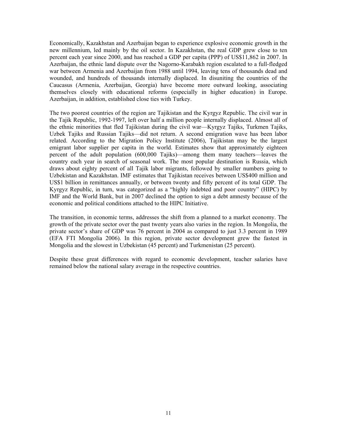Economically, Kazakhstan and Azerbaijan began to experience explosive economic growth in the new millennium, led mainly by the oil sector. In Kazakhstan, the real GDP grew close to ten percent each year since 2000, and has reached a GDP per capita (PPP) of US\$11,862 in 2007. In Azerbaijan, the ethnic land dispute over the Nagorno-Karabakh region escalated to a full-fledged war between Armenia and Azerbaijan from 1988 until 1994, leaving tens of thousands dead and wounded, and hundreds of thousands internally displaced. In disuniting the countries of the Caucasus (Armenia, Azerbaijan, Georgia) have become more outward looking, associating themselves closely with educational reforms (especially in higher education) in Europe. Azerbaijan, in addition, established close ties with Turkey.

The two poorest countries of the region are Tajikistan and the Kyrgyz Republic. The civil war in the Tajik Republic, 1992-1997, left over half a million people internally displaced. Almost all of the ethnic minorities that fled Tajikistan during the civil war—Kyrgyz Tajiks, Turkmen Tajiks, Uzbek Tajiks and Russian Tajiks—did not return. A second emigration wave has been labor related. According to the Migration Policy Institute (2006), Tajikistan may be the largest emigrant labor supplier per capita in the world. Estimates show that approximately eighteen percent of the adult population (600,000 Tajiks)—among them many teachers—leaves the country each year in search of seasonal work. The most popular destination is Russia, which draws about eighty percent of all Tajik labor migrants, followed by smaller numbers going to Uzbekistan and Kazakhstan. IMF estimates that Tajikistan receives between US\$400 million and US\$1 billion in remittances annually, or between twenty and fifty percent of its total GDP. The Kyrgyz Republic, in turn, was categorized as a "highly indebted and poor country" (HIPC) by IMF and the World Bank, but in 2007 declined the option to sign a debt amnesty because of the economic and political conditions attached to the HIPC Initiative.

The transition, in economic terms, addresses the shift from a planned to a market economy. The growth of the private sector over the past twenty years also varies in the region. In Mongolia, the private sector's share of GDP was 76 percent in 2004 as compared to just 3.3 percent in 1989 (EFA FTI Mongolia 2006). In this region, private sector development grew the fastest in Mongolia and the slowest in Uzbekistan (45 percent) and Turkmenistan (25 percent).

Despite these great differences with regard to economic development, teacher salaries have remained below the national salary average in the respective countries.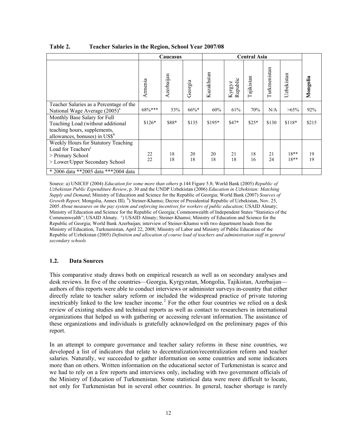|                                                                                                                                               |           | Caucasus   |          |            | <b>Central Asia</b> |            |              |                  |          |  |  |
|-----------------------------------------------------------------------------------------------------------------------------------------------|-----------|------------|----------|------------|---------------------|------------|--------------|------------------|----------|--|--|
|                                                                                                                                               | Armenia   | Azerbaijan | Georgia  | Kazakhstan | Republic<br>Kyrgyz  | Tajikistan | Turkmenistan | Uzbekistan       | Mongolia |  |  |
| Teacher Salaries as a Percentage of the<br>National Wage Average (2005) <sup>a</sup>                                                          | $68\%***$ | 53%        | $66\%$ * | 60%        | 61%                 | 70%        | N/A          | $>65\%$          | 92%      |  |  |
| Monthly Base Salary for Full<br>Teaching Load (without additional<br>teaching hours, supplements,<br>allowances, bonuses) in $\mathrm{USS}^b$ | $$126*$   | \$88*      | \$135    | $$195*$    | $$47*$              | $$25*$     | \$130        | $$118*$          | \$215    |  |  |
| Weekly Hours for Statutory Teaching<br>Load for Teachers <sup>c</sup><br>> Primary School<br>> Lower/Upper Secondary School                   | 22<br>22  | 18<br>18   | 20<br>18 | 20<br>18   | 21<br>18            | 18<br>16   | 21<br>24     | $18**$<br>$18**$ | 19<br>19 |  |  |
| * 2006 data **2005 data ***2004 data                                                                                                          |           |            |          |            |                     |            |              |                  |          |  |  |

| Table 2. |  |  | <b>Teacher Salaries in the Region, School Year 2007/08</b> |
|----------|--|--|------------------------------------------------------------|
|          |  |  |                                                            |

Source: a) UNICEF (2004) *Education for some more than others* p.144 Figure 5.8; World Bank (2005) *Republic of Uzbekistan Public Expenditure Review*, p. 30 and the UNDP Uzbekistan (2006) *Education in Uzbekistan: Matching Supply and Demand*; Ministry of Education and Science for the Republic of Georgia; World Bank (2007) *Sources of Growth Report,* Mongolia, Annex III). <sup>b</sup>) Steiner-Khamsi; Decree of Presidential Republic of Uzbekistan, Nov. 25, 2005 *About measures on the pay system and enforcing incentives for workers of public education*; USAID Almaty; Ministry of Education and Science for the Republic of Georgia; Commonwealth of Independent States "Statistics of the Commonwealth"; USAID Almaty. <sup>c</sup>) USAID Almaty; Steiner-Khamsi; Ministry of Education and Science for the Republic of Georgia; World Bank Azerbaijan; interview of Steiner-Khamsi with two department heads from the Ministry of Education, Turkmenistan, April 22, 2008; Ministry of Labor and Ministry of Public Education of the Republic of Uzbekistan (2005) *Definition and allocation of course load of teachers and administration staff in general secondary schools*

#### **1.2. Data Sources**

This comparative study draws both on empirical research as well as on secondary analyses and desk reviews. In five of the countries—Georgia, Kyrgyzstan, Mongolia, Tajikistan, Azerbaijan authors of this reports were able to conduct interviews or administer surveys in-country that either directly relate to teacher salary reform or included the widespread practice of private tutoring inextricably linked to the low teacher income.<sup>[2](#page-3-1)</sup> For the other four countries we relied on a desk review of existing studies and technical reports as well as contact to researchers in international organizations that helped us with gathering or accessing relevant information. The assistance of these organizations and individuals is gratefully acknowledged on the preliminary pages of this report.

In an attempt to compare governance and teacher salary reforms in these nine countries, we developed a list of indicators that relate to decentralization/recentralization reform and teacher salaries. Naturally, we succeeded to gather information on some countries and some indicators more than on others. Written information on the educational sector of Turkmenistan is scarce and we had to rely on a few reports and interviews only, including with two government officials of the Ministry of Education of Turkmenistan. Some statistical data were more difficult to locate, not only for Turkmenistan but in several other countries. In general, teacher shortage is rarely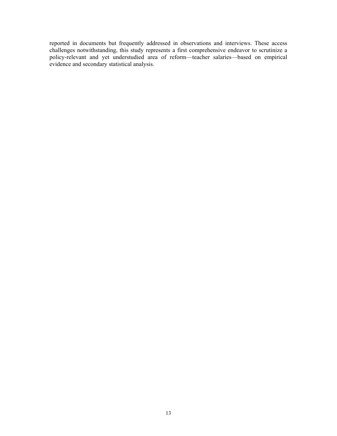reported in documents but frequently addressed in observations and interviews. These access challenges notwithstanding, this study represents a first comprehensive endeavor to scrutinize a policy-relevant and yet understudied area of reform—teacher salaries—based on empirical evidence and secondary statistical analysis.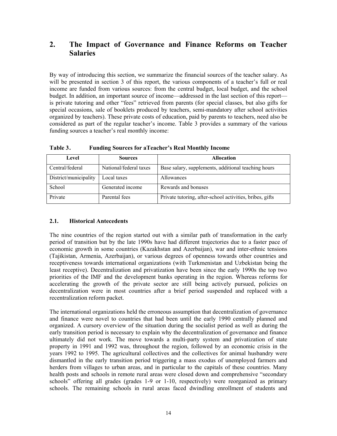## **2. The Impact of Governance and Finance Reforms on Teacher Salaries**

By way of introducing this section, we summarize the financial sources of the teacher salary. As will be presented in section 3 of this report, the various components of a teacher's full or real income are funded from various sources: from the central budget, local budget, and the school budget. In addition, an important source of income—addressed in the last section of this report is private tutoring and other "fees" retrieved from parents (for special classes, but also gifts for special occasions, sale of booklets produced by teachers, semi-mandatory after school activities organized by teachers). These private costs of education, paid by parents to teachers, need also be considered as part of the regular teacher's income. Table 3 provides a summary of the various funding sources a teacher's real monthly income:

| Level                 | <b>Sources</b>         | <b>Allocation</b>                                        |
|-----------------------|------------------------|----------------------------------------------------------|
| Central/federal       | National/federal taxes | Base salary, supplements, additional teaching hours      |
| District/municipality | Local taxes            | Allowances                                               |
| School                | Generated income       | Rewards and bonuses                                      |
| Private               | Parental fees          | Private tutoring, after-school activities, bribes, gifts |

**Table 3 . Funding Sources for aTeacher's Real Monthly Income** 

## **2.1. Historical Antecedents**

The nine countries of the region started out with a similar path of transformation in the early period of transition but by the late 1990s have had different trajectories due to a faster pace of economic growth in some countries (Kazakhstan and Azerbaijan), war and inter-ethnic tensions (Tajikistan, Armenia, Azerbaijan), or various degrees of openness towards other countries and receptiveness towards international organizations (with Turkmenistan and Uzbekistan being the least receptive). Decentralization and privatization have been since the early 1990s the top two priorities of the IMF and the development banks operating in the region. Whereas reforms for accelerating the growth of the private sector are still being actively pursued, policies on decentralization were in most countries after a brief period suspended and replaced with a recentralization reform packet.

<span id="page-14-0"></span>The international organizations held the erroneous assumption that decentralization of governance and finance were novel to countries that had been until the early 1990 centrally planned and organized. A cursory overview of the situation during the socialist period as well as during the early transition period is necessary to explain why the decentralization of governance and finance ultimately did not work. The move towards a multi-party system and privatization of state property in 1991 and 1992 was, throughout the region, followed by an economic crisis in the years 1992 to 1995. The agricultural collectives and the collectives for animal husbandry were dismantled in the early transition period triggering a mass exodus of unemployed farmers and herders from villages to urban areas, and in particular to the capitals of these countries. Many health posts and schools in remote rural areas were closed down and comprehensive "secondary schools" offering all grades (grades 1-9 or 1-10, respectively) were reorganized as primary schools. The remaining schools in rural areas faced dwindling enrollment of students and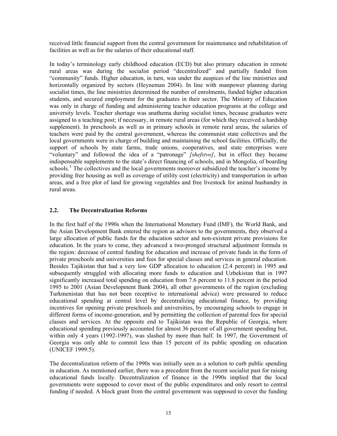received little financial support from the central government for maintenance and rehabilitation of facilities as well as for the salaries of their educational staff.

In today's terminology early childhood education (ECD) but also primary education in remote rural areas was during the socialist period "decentralized" and partially funded from "community" funds. Higher education, in turn, was under the auspices of the line ministries and horizontally organized by sectors (Heyneman 2004). In line with manpower planning during socialist times, the line ministries determined the number of enrolments, funded higher education students, and secured employment for the graduates in their sector. The Ministry of Education was only in charge of funding and administering teacher education programs at the college and university levels. Teacher shortage was anathema during socialist times, because graduates were assigned to a teaching post; if necessary, in remote rural areas (for which they received a hardship supplement). In preschools as well as in primary schools in remote rural areas, the salaries of teachers were paid by the central government, whereas the communist state collectives and the local governments were in charge of building and maintaining the school facilities. Officially, the support of schools by state farms, trade unions, cooperatives, and state enterprises were "voluntary" and followed the idea of a "patronage" *[shefstvo]*, but in effect they became indispensable supplements to the state's direct financing of schools, and in Mongolia, of boarding schools.<sup>[3](#page-3-1)</sup> The collectives and the local governments moreover subsidized the teacher's income by providing free housing as well as coverage of utility cost (electricity) and transportation in urban areas, and a free plot of land for growing vegetables and free livestock for animal husbandry in rural areas.

#### **2.2. The Decentralization Reforms**

In the first half of the 1990s when the International Monetary Fund (IMF), the World Bank, and the Asian Development Bank entered the region as advisors to the governments, they observed a large allocation of public funds for the education sector and non-existent private provisions for education. In the years to come, they advanced a two-pronged structural adjustment formula in the region: decrease of central funding for education and increase of private funds in the form of private preschools and universities and fees for special classes and services in general education. Besides Tajikistan that had a very low GDP allocation to education (2.4 percent) in 1995 and subsequently struggled with allocating more funds to education and Uzbekistan that in 1997 significantly increased total spending on education from 7.6 percent to 11.8 percent in the period 1995 to 2001 (Asian Development Bank 2004), all other governments of the region (excluding Turkmenistan that has not been receptive to international advice) were pressured to reduce educational spending at central level by decentralizing educational finance, by providing incentives for opening private preschools and universities, by encouraging schools to engage in different forms of income-generation, and by permitting the collection of parental fees for special classes and services. At the opposite end to Tajikistan was the Republic of Georgia, where educational spending previously accounted for almost 36 percent of all government spending but, within only 4 years (1992-1997), was slashed by more than half. In 1997, the Government of Georgia was only able to commit less than 15 percent of its public spending on education (UNICEF 1999:5).

The decentralization reform of the 1990s was initially seen as a solution to curb public spending in education. As mentioned earlier, there was a precedent from the recent socialist past for raising educational funds locally. Decentralization of finance in the 1990s implied that the local governments were supposed to cover most of the public expenditures and only resort to central funding if needed. A block grant from the central government was supposed to cover the funding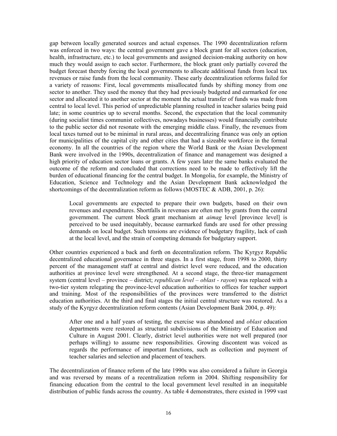gap between locally generated sources and actual expenses. The 1990 decentralization reform was enforced in two ways: the central government gave a block grant for all sectors (education, health, infrastructure, etc.) to local governments and assigned decision-making authority on how much they would assign to each sector. Furthermore, the block grant only partially covered the budget forecast thereby forcing the local governments to allocate additional funds from local tax revenues or raise funds from the local community. These early decentralization reforms failed for a variety of reasons: First, local governments misallocated funds by shifting money from one sector to another. They used the money that they had previously budgeted and earmarked for one sector and allocated it to another sector at the moment the actual transfer of funds was made from central to local level. This period of unpredictable planning resulted in teacher salaries being paid late; in some countries up to several months. Second, the expectation that the local community (during socialist times communist collectives, nowadays businesses) would financially contribute to the public sector did not resonate with the emerging middle class. Finally, the revenues from local taxes turned out to be minimal in rural areas, and decentralizing finance was only an option for municipalities of the capital city and other cities that had a sizeable workforce in the formal economy. In all the countries of the region where the World Bank or the Asian Development Bank were involved in the 1990s, decentralization of finance and management was designed a high priority of education sector loans or grants. A few years later the same banks evaluated the outcome of the reform and concluded that corrections need to be made to effectively lift the burden of educational financing for the central budget. In Mongolia, for example, the Ministry of Education, Science and Technology and the Asian Development Bank acknowledged the shortcomings of the decentralization reform as follows (MOSTEC  $\&$  ADB, 2001, p. 26):

Local governments are expected to prepare their own budgets, based on their own revenues and expenditures. Shortfalls in revenues are often met by grants from the central government. The current block grant mechanism at *aimag* level [province level] is perceived to be used inequitably, because earmarked funds are used for other pressing demands on local budget. Such tensions are evidence of budgetary fragility, lack of cash at the local level, and the strain of competing demands for budgetary support.

Other countries experienced a back and forth on decentralization reform. The Kyrgyz Republic decentralized educational governance in three stages. In a first stage, from 1998 to 2000, thirty percent of the management staff at central and district level were reduced, and the education authorities at province level were strengthened. At a second stage, the three-tier management system (central level – province – district; *republican level – oblast - rayon*) was replaced with a two-tier system relegating the province-level education authorities to offices for teacher support and training. Most of the responsibilities of the provinces were transferred to the district education authorities. At the third and final stages the initial central structure was restored. As a study of the Kyrgyz decentralization reform contents (Asian Development Bank 2004, p. 49):

After one and a half years of testing, the exercise was abandoned and *oblast* education departments were restored as structural subdivisions of the Ministry of Education and Culture in August 2001. Clearly, district level authorities were not well prepared (nor perhaps willing) to assume new responsibilities. Growing discontent was voiced as regards the performance of important functions, such as collection and payment of teacher salaries and selection and placement of teachers.

The decentralization of finance reform of the late 1990s was also considered a failure in Georgia and was reversed by means of a recentralization reform in 2004. Shifting responsibility for financing education from the central to the local government level resulted in an inequitable distribution of public funds across the country. As table 4 demonstrates, there existed in 1999 vast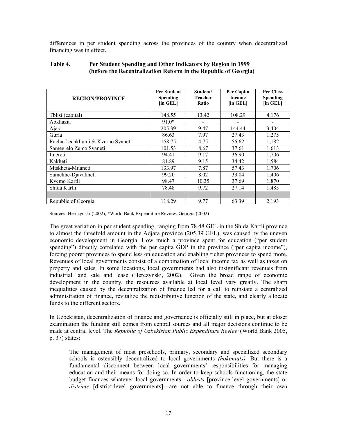differences in per student spending across the provinces of the country when decentralized financing was in effect.

| <b>REGION/PROVINCE</b>           | Per Student<br><b>Spending</b><br>[in GEL] | Student/<br>Teacher<br>Ratio | Per Capita<br><b>Income</b><br>[in GEL] | <b>Per Class</b><br><b>Spending</b><br>[in GEL] |
|----------------------------------|--------------------------------------------|------------------------------|-----------------------------------------|-------------------------------------------------|
| Tblisi (capital)                 | 148.55                                     | 13.42                        | 108.29                                  | 4,176                                           |
| Abkhazia                         | $91.0*$                                    |                              |                                         |                                                 |
| Ajara                            | 205.39                                     | 9.47                         | 144.44                                  | 3,404                                           |
| Guria                            | 86.63                                      | 7.97                         | 27.43                                   | 1,275                                           |
| Racha-Lechkhumi & Kverno Svaneti | 158.75                                     | 4.75                         | 55.62                                   | 1,182                                           |
| Samegrelo Zemo Svaneti           | 101.53                                     | 8.67                         | 37.61                                   | 1,613                                           |
| Imereti                          | 94.41                                      | 9.17                         | 36.90                                   | 1,706                                           |
| Kakheti                          | 81.89                                      | 9.15                         | 34.42                                   | 1,584                                           |
| Mtskheta-Mtianeti                | 133.97                                     | 7.87                         | 57.43                                   | 1,706                                           |
| Samckhe-Djavakheti               | 99.20                                      | 8.02                         | 33.04                                   | 1,406                                           |
| Kvemo Kartli                     | 98.47                                      | 10.35                        | 37.69                                   | 1,870                                           |
| Shida Kartli                     | 78.48                                      | 9.72                         | 27.14                                   | 1,485                                           |
|                                  |                                            |                              |                                         |                                                 |
| Republic of Georgia              | 118.29                                     | 9.77                         | 63.39                                   | 2,193                                           |

#### **Table 4. Per Student Spending and Other Indicators by Region in 1999 (before the Recentralization Reform in the Republic of Georgia)**

Sources: Herczynski (2002); \*World Bank Expenditure Review, Georgia (2002)

The great variation in per student spending, ranging from 78.48 GEL in the Shida Kartli province to almost the threefold amount in the Adjara province (205.39 GEL), was caused by the uneven economic development in Georgia. How much a province spent for education ("per student spending") directly correlated with the per capita GDP in the province ("per capita income"), forcing poorer provinces to spend less on education and enabling richer provinces to spend more. Revenues of local governments consist of a combination of local income tax as well as taxes on property and sales. In some locations, local governments had also insignificant revenues from industrial land sale and lease (Herczynski, 2002). Given the broad range of economic development in the country, the resources available at local level vary greatly. The sharp inequalities caused by the decentralization of finance led for a call to reinstate a centralized administration of finance, revitalize the redistributive function of the state, and clearly allocate funds to the different sectors.

In Uzbekistan, decentralization of finance and governance is officially still in place, but at closer examination the funding still comes from central sources and all major decisions continue to be made at central level. The *Republic of Uzbekistan Public Expenditure Review* (World Bank 2005, p. 37) states:

The management of most preschools, primary, secondary and specialized secondary schools is ostensibly decentralized to local governments *(hokimiats).* But there is a fundamental disconnect between local governments' responsibilities for managing education and their means for doing so. In order to keep schools functioning, the state budget finances whatever local governments—*oblasts* [province-level governments] or *districts* [district-level governments]—are not able to finance through their own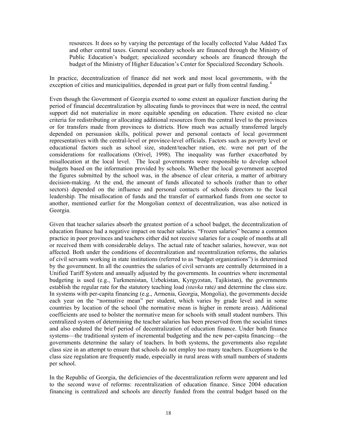resources. It does so by varying the percentage of the locally collected Value Added Tax and other central taxes. General secondary schools are financed through the Ministry of Public Education's budget; specialized secondary schools are financed through the budget of the Ministry of Higher Education's Center for Specialized Secondary Schools.

In practice, decentralization of finance did not work and most local governments, with the exception of cities and municipalities, depended in great part or fully from central funding.<sup>[4](#page-3-1)</sup>

Even though the Government of Georgia exerted to some extent an equalizer function during the period of financial decentralization by allocating funds to provinces that were in need, the central support did not materialize in more equitable spending on education. There existed no clear criteria for redistributing or allocating additional resources from the central level to the provinces or for transfers made from provinces to districts. How much was actually transferred largely depended on persuasion skills, political power and personal contacts of local government representatives with the central-level or province-level officials. Factors such as poverty level or educational factors such as school size, student/teacher ration, etc. were not part of the considerations for reallocations (Orivel, 1998). The inequality was further exacerbated by misallocation at the local level. The local governments were responsible to develop school budgets based on the information provided by schools. Whether the local government accepted the figures submitted by the school was, in the absence of clear criteria, a matter of arbitrary decision-making. At the end, the amount of funds allocated to schools (rather than to other sectors) depended on the influence and personal contacts of schools directors to the local leadership. The misallocation of funds and the transfer of earmarked funds from one sector to another, mentioned earlier for the Mongolian context of decentralization, was also noticed in Georgia.

Given that teacher salaries absorb the greatest portion of a school budget, the decentralization of education finance had a negative impact on teacher salaries. "Frozen salaries" became a common practice in poor provinces and teachers either did not receive salaries for a couple of months at all or received them with considerable delays. The actual rate of teacher salaries, however, was not affected. Both under the conditions of decentralization and recentralization reforms, the salaries of civil servants working in state institutions (referred to as "budget organizations") is determined by the government. In all the countries the salaries of civil servants are centrally determined in a Unified Tariff System and annually adjusted by the governments. In countries where incremental budgeting is used (e.g., Turkmenistan, Uzbekistan, Kyrgyzstan, Tajikistan), the governments establish the regular rate for the statutory teaching load *(stavka* rate*)* and determine the class size. In systems with per-capita financing (e.g., Armenia, Georgia, Mongolia), the governments decide each year on the "normative mean" per student, which varies by grade level and in some countries by location of the school (the normative mean is higher in remote areas). Additional coefficients are used to bolster the normative mean for schools with small student numbers. This centralized system of determining the teacher salaries has been preserved from the socialist times and also endured the brief period of decentralization of education finance. Under both finance systems—the traditional system of incremental budgeting and the new per-capita financing—the governments determine the salary of teachers. In both systems, the governments also regulate class size in an attempt to ensure that schools do not employ too many teachers. Exceptions to the class size regulation are frequently made, especially in rural areas with small numbers of students per school.

In the Republic of Georgia, the deficiencies of the decentralization reform were apparent and led to the second wave of reforms: recentralization of education finance. Since 2004 education financing is centralized and schools are directly funded from the central budget based on the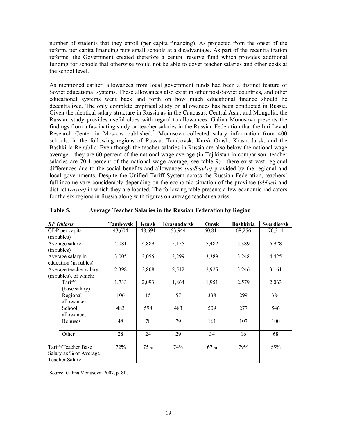number of students that they enroll (per capita financing). As projected from the onset of the reform, per capita financing puts small schools at a disadvantage. As part of the recentralization reforms, the Government created therefore a central reserve fund which provides additional funding for schools that otherwise would not be able to cover teacher salaries and other costs at the school level.

As mentioned earlier, allowances from local government funds had been a distinct feature of Soviet educational systems. These allowances also exist in other post-Soviet countries, and other educational systems went back and forth on how much educational finance should be decentralized. The only complete empirical study on allowances has been conducted in Russia. Given the identical salary structure in Russia as in the Caucasus, Central Asia, and Mongolia, the Russian study provides useful clues with regard to allowances. Galina Monusova presents the findings from a fascinating study on teacher salaries in the Russian Federation that the Iuri Levad Research Center in Moscow published.<sup>[5](#page-3-1)</sup> Monusova collected salary information from 400 schools, in the following regions of Russia: Tambovsk, Kursk Omsk, Krasnodarsk, and the Bashkiria Republic. Even though the teacher salaries in Russia are also below the national wage average—they are 60 percent of the national wage average (in Tajikistan in comparison: teacher salaries are 70.4 percent of the national wage average, see table 9)—there exist vast regional differences due to the social benefits and allowances *(nadbavka)* provided by the regional and local governments. Despite the Unified Tariff System across the Russian Federation, teachers' full income vary considerably depending on the economic situation of the province (*oblast)* and district (*rayon)* in which they are located. The following table presents a few economic indicators for the six regions in Russia along with figures on average teacher salaries.

| <b>RF</b> Oblasts      | <b>Tambovsk</b> | <b>Kursk</b> | <b>Krasnodarsk</b> | Omsk   | <b>Bashkiria</b> | <b>Sverdlovsk</b> |
|------------------------|-----------------|--------------|--------------------|--------|------------------|-------------------|
| GDP per capita         | 43,604          | 48,691       | 53,944             | 60,811 | 68,256           | 70,314            |
| (in rubles)            |                 |              |                    |        |                  |                   |
| Average salary         | 4,081           | 4,889        | 5,155              | 5,482  | 5,389            | 6,928             |
| (in rubles)            |                 |              |                    |        |                  |                   |
| Average salary in      | 3,005           | 3,055        | 3,299              | 3,389  | 3,248            | 4,425             |
| education (in rubles)  |                 |              |                    |        |                  |                   |
| Average teacher salary | 2,398           | 2,808        | 2,512              | 2,925  | 3,246            | 3,161             |
| (in rubles), of which: |                 |              |                    |        |                  |                   |
| Tariff                 | 1,733           | 2,093        | 1,864              | 1,951  | 2,579            | 2,063             |
| (base salary)          |                 |              |                    |        |                  |                   |
| Regional               | 106             | 15           | 57                 | 338    | 299              | 384               |
| allowances             |                 |              |                    |        |                  |                   |
| School                 | 483             | 598          | 483                | 509    | 277              | 546               |
| allowances             |                 |              |                    |        |                  |                   |
| <b>Bonuses</b>         | 48              | 78           | 79                 | 161    | 107              | 100               |
|                        |                 |              |                    |        |                  |                   |
| Other                  | 28              | 24           | 29                 | 34     | 16               | 68                |
|                        |                 |              |                    |        |                  |                   |
| Tariff/Teacher Base    | 72%             | 75%          | 74%                | 67%    | 79%              | 65%               |
| Salary as % of Average |                 |              |                    |        |                  |                   |
| <b>Teacher Salary</b>  |                 |              |                    |        |                  |                   |

#### **Table 5. Average Teacher Salaries in the Russian Federation by Region**

Source: Galina Monusova, 2007, p. 8ff.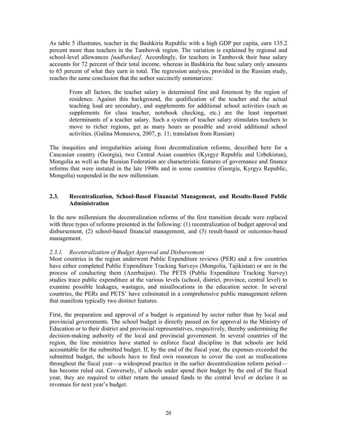As table 5 illustrates, teacher in the Bashkiria Republic with a high GDP per capita, earn 135.2 percent more than teachers in the Tambovsk region. The variation is explained by regional and school-level allowances *[nadbavkas].* Accordingly, for teachers in Tambovsk their base salary accounts for 72 percent of their total income, whereas in Bashkiria the base salary only amounts to 65 percent of what they earn in total. The regression analysis, provided in the Russian study, reaches the same conclusion that the author succinctly summarizes:

From all factors, the teacher salary is determined first and foremost by the region of residence. Against this background, the qualification of the teacher and the actual teaching load are secondary, and supplements for additional school activities (such as supplements for class teacher, notebook checking, etc.) are the least important determinants of a teacher salary. Such a system of teacher salary stimulates teachers to move to richer regions, get as many hours as possible and avoid additional school activities. (Galina Monusova, 2007, p. 11; translation from Russian)

The inequities and irregularities arising from decentralization reforms, described here for a Caucasian country (Georgia), two Central Asian countries (Kyrgyz Republic and Uzbekistan), Mongolia as well as the Russian Federation are characteristic features of governance and finance reforms that were instated in the late 1990s and in some countries (Georgia, Kyrgyz Republic, Mongolia) suspended in the new millennium.

#### **2.3. Recentralization, School-Based Financial Management, and Results-Based Public Administration**

In the new millennium the decentralization reforms of the first transition decade were replaced with three types of reforms presented in the following: (1) recentralization of budget approval and disbursement, (2) school-based financial management, and (3) result-based or outcomes-based management.

#### *2.3.1. Recentralization of Budget Approval and Disbursement*

Most countries in the region underwent Public Expenditure reviews (PER) and a few countries have either completed Public Expenditure Tracking Surveys (Mongolia, Tajikistan) or are in the process of conducting them (Azerbaijan). The PETS (Public Expenditure Tracking Survey) studies trace public expenditure at the various levels (school, district, province, central level) to examine possible leakages, wastages, and misallocations in the education sector. In several countries, the PERs and PETS' have culminated in a comprehensive public management reform that manifests typically two distinct features.

First, the preparation and approval of a budget is organized by sector rather than by local and provincial governments. The school budget is directly passed on for approval to the Ministry of Education or to their district and provincial representatives, respectively, thereby undermining the decision-making authority of the local and provincial government. In several countries of the region, the line ministries have started to enforce fiscal discipline in that schools are held accountable for the submitted budget. If, by the end of the fiscal year, the expenses exceeded the submitted budget, the schools have to find own resources to cover the cost as reallocations throughout the fiscal year—a widespread practice in the earlier decentralization reform period has become ruled out. Conversely, if schools under spend their budget by the end of the fiscal year, they are required to either return the unused funds to the central level or declare it as revenues for next year's budget.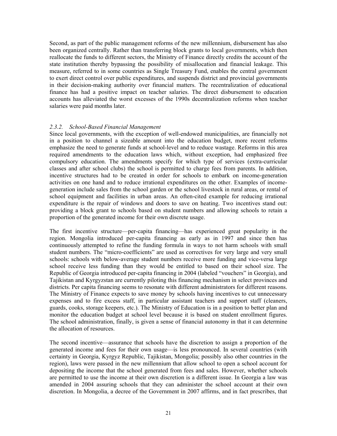Second, as part of the public management reforms of the new millennium, disbursement has also been organized centrally. Rather than transferring block grants to local governments, which then reallocate the funds to different sectors, the Ministry of Finance directly credits the account of the state institution thereby bypassing the possibility of misallocation and financial leakage. This measure, referred to in some countries as Single Treasury Fund, enables the central government to exert direct control over public expenditures, and suspends district and provincial governments in their decision-making authority over financial matters. The recentralization of educational finance has had a positive impact on teacher salaries. The direct disbursement to education accounts has alleviated the worst excesses of the 1990s decentralization reforms when teacher salaries were paid months later.

#### *2.3.2. School-Based Financial Management*

Since local governments, with the exception of well-endowed municipalities, are financially not in a position to channel a sizeable amount into the education budget, more recent reforms emphasize the need to generate funds at school-level and to reduce wastage. Reforms in this area required amendments to the education laws which, without exception, had emphasized free compulsory education. The amendments specify for which type of services (extra-curricular classes and after school clubs) the school is permitted to charge fees from parents. In addition, incentive structures had to be created in order for schools to embark on income-generation activities on one hand and to reduce irrational expenditures on the other. Examples of incomegeneration include sales from the school garden or the school livestock in rural areas, or rental of school equipment and facilities in urban areas. An often-cited example for reducing irrational expenditure is the repair of windows and doors to save on heating. Two incentives stand out: providing a block grant to schools based on student numbers and allowing schools to retain a proportion of the generated income for their own discrete usage.

The first incentive structure—per-capita financing—has experienced great popularity in the region. Mongolia introduced per-capita financing as early as in 1997 and since then has continuously attempted to refine the funding formula in ways to not harm schools with small student numbers. The "micro-coefficients" are used as correctives for very large and very small schools: schools with below-average student numbers receive more funding and vice-versa large school receive less funding than they would be entitled to based on their school size. The Republic of Georgia introduced per-capita financing in 2004 (labeled "vouchers" in Georgia), and Tajikistan and Kyrgyzstan are currently piloting this financing mechanism in select provinces and districts. Per capita financing seems to resonate with different administrators for different reasons. The Ministry of Finance expects to save money by schools having incentives to cut unnecessary expenses and to fire excess staff, in particular assistant teachers and support staff (cleaners, guards, cooks, storage keepers, etc.). The Ministry of Education is in a position to better plan and monitor the education budget at school level because it is based on student enrollment figures. The school administration, finally, is given a sense of financial autonomy in that it can determine the allocation of resources.

The second incentive—assurance that schools have the discretion to assign a proportion of the generated income and fees for their own usage—is less pronounced. In several countries (with certainty in Georgia, Kyrgyz Republic, Tajikistan, Mongolia; possibly also other countries in the region), laws were passed in the new millennium that allow school to open a school account for depositing the income that the school generated from fees and sales. However, whether schools are permitted to use the income at their own discretion is a different issue. In Georgia a law was amended in 2004 assuring schools that they can administer the school account at their own discretion. In Mongolia, a decree of the Government in 2007 affirms, and in fact prescribes, that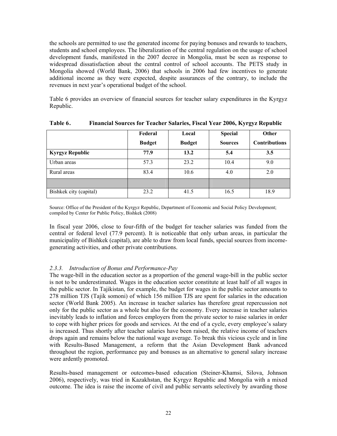the schools are permitted to use the generated income for paying bonuses and rewards to teachers, students and school employees. The liberalization of the central regulation on the usage of school development funds, manifested in the 2007 decree in Mongolia, must be seen as response to widespread dissatisfaction about the central control of school accounts. The PETS study in Mongolia showed (World Bank, 2006) that schools in 2006 had few incentives to generate additional income as they were expected, despite assurances of the contrary, to include the revenues in next year's operational budget of the school.

Table 6 provides an overview of financial sources for teacher salary expenditures in the Kyrgyz Republic.

|                        | Federal       | Local         | <b>Special</b> | Other                |  |  |
|------------------------|---------------|---------------|----------------|----------------------|--|--|
|                        | <b>Budget</b> | <b>Budget</b> | <b>Sources</b> | <b>Contributions</b> |  |  |
| <b>Kyrgyz Republic</b> | 77.9          | 13.2          | 5.4            | 3.5                  |  |  |
| Urban areas            | 57.3          | 23.2          | 10.4           | 9.0                  |  |  |
| Rural areas            | 83.4          | 10.6          | 4.0            | 2.0                  |  |  |
|                        |               |               |                |                      |  |  |
| Bishkek city (capital) | 23.2          | 41.5          | 16.5           | 18.9                 |  |  |

**Table 6 . Financial Sources for Teacher Salaries, Fiscal Year 2006, Kyrgyz Republic**

Source: Office of the President of the Kyrgyz Republic, Department of Economic and Social Policy Development; compiled by Center for Public Policy, Bishkek (2008)

In fiscal year 2006, close to four-fifth of the budget for teacher salaries was funded from the central or federal level (77.9 percent). It is noticeable that only urban areas, in particular the municipality of Bishkek (capital), are able to draw from local funds, special sources from incomegenerating activities, and other private contributions.

#### *2.3.3. Introduction of Bonus and Performance-Pay*

The wage-bill in the education sector as a proportion of the general wage-bill in the public sector is not to be underestimated. Wages in the education sector constitute at least half of all wages in the public sector. In Tajikistan, for example, the budget for wages in the public sector amounts to 278 million TJS (Tajik somoni) of which 156 million TJS are spent for salaries in the education sector (World Bank 2005). An increase in teacher salaries has therefore great repercussion not only for the public sector as a whole but also for the economy. Every increase in teacher salaries inevitably leads to inflation and forces employers from the private sector to raise salaries in order to cope with higher prices for goods and services. At the end of a cycle, every employee's salary is increased. Thus shortly after teacher salaries have been raised, the relative income of teachers drops again and remains below the national wage average. To break this vicious cycle and in line with Results-Based Management, a reform that the Asian Development Bank advanced throughout the region, performance pay and bonuses as an alternative to general salary increase were ardently promoted.

Results-based management or outcomes-based education (Steiner-Khamsi, Silova, Johnson 2006), respectively, was tried in Kazakhstan, the Kyrgyz Republic and Mongolia with a mixed outcome. The idea is raise the income of civil and public servants selectively by awarding those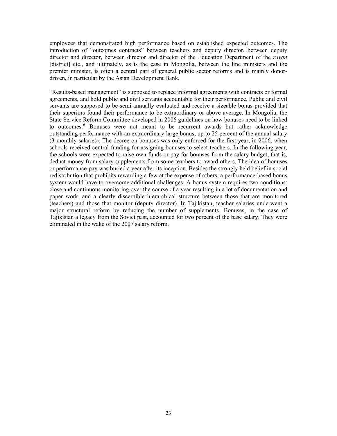employees that demonstrated high performance based on established expected outcomes. The introduction of "outcomes contracts" between teachers and deputy director, between deputy director and director, between director and director of the Education Department of the *rayon*  [district] etc., and ultimately, as is the case in Mongolia, between the line ministers and the premier minister, is often a central part of general public sector reforms and is mainly donordriven, in particular by the Asian Development Bank.

"Results-based management" is supposed to replace informal agreements with contracts or formal agreements, and hold public and civil servants accountable for their performance. Public and civil servants are supposed to be semi-annually evaluated and receive a sizeable bonus provided that their superiors found their performance to be extraordinary or above average. In Mongolia, the State Service Reform Committee developed in 2006 guidelines on how bonuses need to be linked to outcomes.<sup>[6](#page-3-1)</sup> Bonuses were not meant to be recurrent awards but rather acknowledge outstanding performance with an extraordinary large bonus, up to 25 percent of the annual salary (3 monthly salaries). The decree on bonuses was only enforced for the first year, in 2006, when schools received central funding for assigning bonuses to select teachers. In the following year, the schools were expected to raise own funds or pay for bonuses from the salary budget, that is, deduct money from salary supplements from some teachers to award others. The idea of bonuses or performance-pay was buried a year after its inception. Besides the strongly held belief in social redistribution that prohibits rewarding a few at the expense of others, a performance-based bonus system would have to overcome additional challenges. A bonus system requires two conditions: close and continuous monitoring over the course of a year resulting in a lot of documentation and paper work, and a clearly discernible hierarchical structure between those that are monitored (teachers) and those that monitor (deputy director). In Tajikistan, teacher salaries underwent a major structural reform by reducing the number of supplements. Bonuses, in the case of Tajikistan a legacy from the Soviet past, accounted for two percent of the base salary. They were eliminated in the wake of the 2007 salary reform.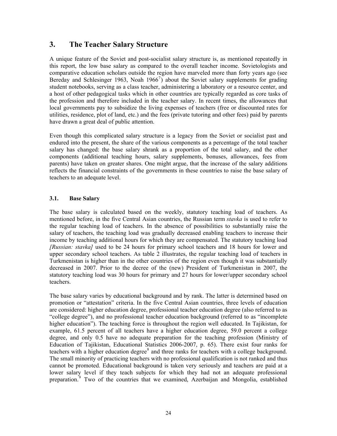## **3. The Teacher Salary Structure**

A unique feature of the Soviet and post-socialist salary structure is, as mentioned repeatedly in this report, the low base salary as compared to the overall teacher income. Sovietologists and comparative education scholars outside the region have marveled more than forty years ago (see Bereday and Schlesinger 1963, Noah 1966<sup>[7](#page-3-1)</sup>) about the Soviet salary supplements for grading student notebooks, serving as a class teacher, administering a laboratory or a resource center, and a host of other pedagogical tasks which in other countries are typically regarded as core tasks of the profession and therefore included in the teacher salary. In recent times, the allowances that local governments pay to subsidize the living expenses of teachers (free or discounted rates for utilities, residence, plot of land, etc.) and the fees (private tutoring and other fees) paid by parents have drawn a great deal of public attention.

Even though this complicated salary structure is a legacy from the Soviet or socialist past and endured into the present, the share of the various components as a percentage of the total teacher salary has changed: the base salary shrank as a proportion of the total salary, and the other components (additional teaching hours, salary supplements, bonuses, allowances, fees from parents) have taken on greater shares. One might argue, that the increase of the salary additions reflects the financial constraints of the governments in these countries to raise the base salary of teachers to an adequate level.

#### **3.1. Base Salary**

The base salary is calculated based on the weekly, statutory teaching load of teachers. As mentioned before, in the five Central Asian countries, the Russian term *stavka* is used to refer to the regular teaching load of teachers. In the absence of possibilities to substantially raise the salary of teachers, the teaching load was gradually decreased enabling teachers to increase their income by teaching additional hours for which they are compensated. The statutory teaching load *[Russian: stavka]* used to be 24 hours for primary school teachers and 18 hours for lower and upper secondary school teachers. As table 2 illustrates, the regular teaching load of teachers in Turkmenistan is higher than in the other countries of the region even though it was substantially decreased in 2007. Prior to the decree of the (new) President of Turkmenistan in 2007, the statutory teaching load was 30 hours for primary and 27 hours for lower/upper secondary school teachers.

<span id="page-24-0"></span>The base salary varies by educational background and by rank. The latter is determined based on promotion or "attestation" criteria. In the five Central Asian countries, three levels of education are considered: higher education degree, professional teacher education degree (also referred to as "college degree"), and no professional teacher education background (referred to as "incomplete higher education"). The teaching force is throughout the region well educated. In Tajikistan, for example, 61.5 percent of all teachers have a higher education degree, 59.0 percent a college degree, and only 0.5 have no adequate preparation for the teaching profession (Ministry of Education of Tajikistan, Educational Statistics 2006-2007, p. 65). There exist four ranks for teachers with a higher education degree<sup>[8](#page-3-1)</sup> and three ranks for teachers with a college background. The small minority of practicing teachers with no professional qualification is not ranked and thus cannot be promoted. Educational background is taken very seriously and teachers are paid at a lower salary level if they teach subjects for which they had not an adequate professional preparation.<sup>[9](#page-4-0)</sup> Two of the countries that we examined, Azerbaijan and Mongolia, established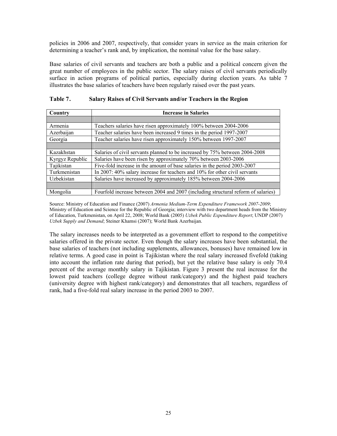policies in 2006 and 2007, respectively, that consider years in service as the main criterion for determining a teacher's rank and, by implication, the nominal value for the base salary.

Base salaries of civil servants and teachers are both a public and a political concern given the great number of employees in the public sector. The salary raises of civil servants periodically surface in action programs of political parties, especially during election years. As table 7 illustrates the base salaries of teachers have been regularly raised over the past years.

| Country         | <b>Increase in Salaries</b>                                                       |
|-----------------|-----------------------------------------------------------------------------------|
|                 |                                                                                   |
| Armenia         | Teachers salaries have risen approximately 100% between 2004-2006                 |
| Azerbaijan      | Teacher salaries have been increased 9 times in the period 1997-2007              |
| Georgia         | Teacher salaries have risen approximately 150% between 1997-2007                  |
|                 |                                                                                   |
| Kazakhstan      | Salaries of civil servants planned to be increased by 75% between 2004-2008       |
| Kyrgyz Republic | Salaries have been risen by approximately 70% between 2003-2006                   |
| Tajikistan      | Five-fold increase in the amount of base salaries in the period 2003-2007         |
| Turkmenistan    | In 2007: 40% salary increase for teachers and 10% for other civil servants        |
| Uzbekistan      | Salaries have increased by approximately 185% between 2004-2006                   |
|                 |                                                                                   |
| Mongolia        | Fourfold increase between 2004 and 2007 (including structural reform of salaries) |

| Table 7. | Salary Raises of Civil Servants and/or Teachers in the Region |
|----------|---------------------------------------------------------------|
|----------|---------------------------------------------------------------|

Source: Ministry of Education and Finance (2007) *Armenia Medium-Term Expenditure Framework 2007-2009*; Ministry of Education and Science for the Republic of Georgia; interview with two department heads from the Ministry of Education, Turkmenistan, on April 22, 2008; World Bank (2005) *Uzbek Public Expenditure Report*; UNDP (2007) *Uzbek Supply and Demand*; Steiner Khamsi (2007); World Bank Azerbaijan.

The salary increases needs to be interpreted as a government effort to respond to the competitive salaries offered in the private sector. Even though the salary increases have been substantial, the base salaries of teachers (not including supplements, allowances, bonuses) have remained low in relative terms. A good case in point is Tajikistan where the real salary increased fivefold (taking into account the inflation rate during that period), but yet the relative base salary is only 70.4 percent of the average monthly salary in Tajikistan. Figure 3 present the real increase for the lowest paid teachers (college degree without rank/category) and the highest paid teachers (university degree with highest rank/category) and demonstrates that all teachers, regardless of rank, had a five-fold real salary increase in the period 2003 to 2007.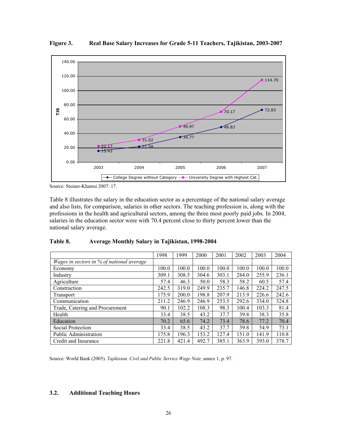

**Figure 3. Real Base Salary Increases for Grade 5-11 Teachers, Tajikistan, 2003-2007** 

Source: Steiner-Khamsi 2007: 17.

Table 8 illustrates the salary in the education sector as a percentage of the national salary average and also lists, for comparison, salaries in other sectors. The teaching profession is, along with the professions in the health and agricultural sectors, among the three most poorly paid jobs. In 2004, salaries in the education sector were with 70.4 percent close to thirty percent lower than the national salary average.

| Table 8. | <b>Average Monthly Salary in Tajikistan, 1998-2004</b> |  |
|----------|--------------------------------------------------------|--|
|----------|--------------------------------------------------------|--|

|                                           | 1998  | 1999  | 2000  | 2001  | 2002  | 2003  | 2004  |
|-------------------------------------------|-------|-------|-------|-------|-------|-------|-------|
| Wages in sectors in % of national average |       |       |       |       |       |       |       |
| Economy                                   | 100.0 | 100.0 | 100.0 | 100.0 | 100.0 | 100.0 | 100.0 |
| Industry                                  | 309.1 | 308.5 | 304.6 | 303.1 | 284.0 | 255.9 | 236.1 |
| Agriculture                               | 57.4  | 46.3  | 50.0  | 58.3  | 58.2  | 60.5  | 57.4  |
| Construction                              | 242.5 | 319.0 | 249.9 | 235.7 | 146.8 | 224.2 | 247.5 |
| Transport                                 | 175.9 | 200.0 | 198.8 | 207.9 | 213.9 | 226.6 | 242.6 |
| Communication                             | 211.2 | 246.9 | 246.9 | 253.5 | 292.6 | 334.0 | 324.8 |
| Trade, Catering and Procurement           | 90.1  | 102.2 | 108.3 | 98.3  | 100.4 | 103.3 | 81.4  |
| Health                                    | 33.4  | 38.5  | 43.2  | 37.7  | 39.8  | 38.3  | 35.8  |
| Education                                 | 70.2  | 65.6  | 74.2  | 73.4  | 78.6  | 77.2  | 70.4  |
| Social Protection                         | 33.4  | 38.5  | 43.2  | 37.7  | 39.8  | 54.9  | 73.1  |
| <b>Public Administration</b>              | 175.8 | 196.3 | 153.2 | 127.4 | 151.0 | 141.9 | 110.8 |
| Credit and Insurance                      | 221.8 | 421.4 | 492.7 | 385.1 | 363.9 | 393.0 | 378.7 |

Source: World Bank (2005). *Tajikistan. Civil and Public Service Wage Note,* annex 1, p. 97.

#### **3.2. Additional Teaching Hours**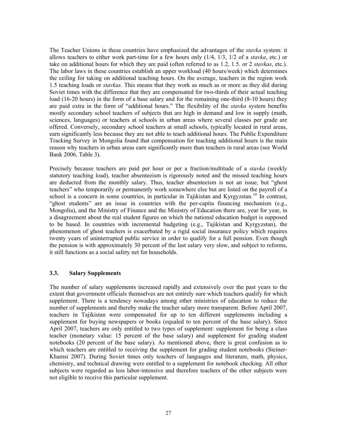The Teacher Unions in these countries have emphasized the advantages of the *stavka* system: it allows teachers to either work part-time for a few hours only (1/4, 1/3, 1/2 of a *stavka*, etc.) or take on additional hours for which they are paid (often referred to as 1.2, 1.5. or 2 *stavkas*, etc.). The labor laws in these countries establish an upper workload (40 hours/week) which determines the ceiling for taking on additional teaching hours. On the average, teachers in the region work 1.5 teaching loads or *stavkas.* This means that they work as much as or more as they did during Soviet times with the difference that they are compensated for two-thirds of their actual teaching load (16-20 hours) in the form of a base salary and for the remaining one-third (8-10 hours) they are paid extra in the form of "additional hours." The flexibility of the *stavka* system benefits mostly secondary school teachers of subjects that are high in demand and low in supply (math, sciences, languages) or teachers at schools in urban areas where several classes per grade are offered. Conversely, secondary school teachers at small schools, typically located in rural areas, earn significantly less because they are not able to teach additional hours. The Public Expenditure Tracking Survey in Mongolia found that compensation for teaching additional hours is the main reason why teachers in urban areas earn significantly more than teachers in rural areas (see World Bank 2006, Table 3).

Precisely because teachers are paid per hour or per a fraction/multitude of a *stavka* (weekly statutory teaching load), teacher absenteeism is rigorously noted and the missed teaching hours are deducted from the monthly salary. Thus, teacher absenteeism is not an issue, but "ghost teachers" who temporarily or permanently work somewhere else but are listed on the payroll of a school is a concern in some countries, in particular in Tajikistan and Kyrgyzstan.<sup>[10](#page-4-0)</sup> In contrast, "ghost students" are an issue in countries with the per-capita financing mechanism (e.g., Mongolia), and the Ministry of Finance and the Ministry of Education there are, year for year, in a disagreement about the real student figures on which the national education budget is supposed to be based. In countries with incremental budgeting (e.g., Tajikistan and Kyrgyzstan), the phenomenon of ghost teachers is exacerbated by a rigid social insurance policy which requires twenty years of uninterrupted public service in order to qualify for a full pension. Even though the pension is with approximately 30 percent of the last salary very slow, and subject to reforms, it still functions as a social safety net for households.

#### **3.3. Salary Supplements**

The number of salary supplements increased rapidly and extensively over the past years to the extent that government officials themselves are not entirely sure which teachers qualify for which supplement. There is a tendency nowadays among other ministries of education to reduce the number of supplements and thereby make the teacher salary more transparent. Before April 2007, teachers in Tajikistan were compensated for up to ten different supplements including a supplement for buying newspapers or books (equaled to ten percent of the base salary). Since April 2007, teachers are only entitled to two types of supplement: supplement for being a class teacher (monetary value: 15 percent of the base salary) and supplement for grading student notebooks (20 percent of the base salary). As mentioned above, there is great confusion as to which teachers are entitled to receiving the supplement for grading student notebooks (Steiner-Khamsi 2007). During Soviet times only teachers of languages and literature, math, physics, chemistry, and technical drawing were entitled to a supplement for notebook checking. All other subjects were regarded as less labor-intensive and therefore teachers of the other subjects were not eligible to receive this particular supplement.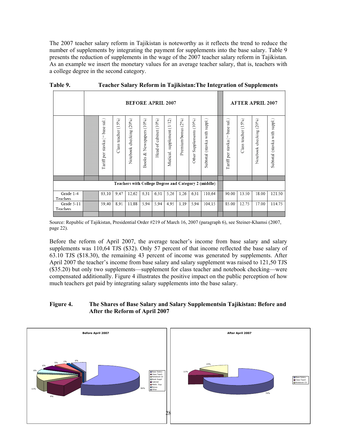The 2007 teacher salary reform in Tajikistan is noteworthy as it reflects the trend to reduce the number of supplements by integrating the payment for supplements into the base salary. Table 9 presents the reduction of supplements in the wage of the 2007 teacher salary reform in Tajikistan. As an example we insert the monetary values for an average teacher salary, that is, teachers with a college degree in the second category.

|                        | <b>BEFORE APRIL 2007</b> |                                                |                        |                            |                                   |                          |                                  |                          |                               |                                                      | <b>AFTER APRIL 2007</b>         |                        |                               |                               |
|------------------------|--------------------------|------------------------------------------------|------------------------|----------------------------|-----------------------------------|--------------------------|----------------------------------|--------------------------|-------------------------------|------------------------------------------------------|---------------------------------|------------------------|-------------------------------|-------------------------------|
|                        |                          | $\overline{3}$<br>base<br>Tariff per stavka (= | (15%)<br>Class teacher | (20%)<br>Notebook checking | (10%)<br>Newspapers<br>శ<br>Books | (10%)<br>Head of cabinet | (1/12)<br>supplement<br>Medical. | $(2\%)$<br>Premium/bonus | (10%)<br>Supplements<br>Other | (stavka with suppl.)<br>Subtotal                     | Tariff per stavka (= base sal.) | (15%)<br>Class teacher | (20%)<br>checking<br>Notebook | Subtotal (stavka with suppl.) |
|                        |                          |                                                |                        |                            |                                   |                          |                                  |                          |                               |                                                      |                                 |                        |                               |                               |
|                        |                          |                                                |                        |                            |                                   |                          |                                  |                          |                               | Teachers with College Degree and Category 2 (middle) |                                 |                        |                               |                               |
| Grade 1-4<br>Teachers  |                          | 63,10                                          | 9,47                   | 12,62                      | 6,31                              | 6,31                     | 5,26                             | 1,26                     | 6,31                          | 110.64                                               | 90.00                           | 13.50                  | 18.00                         | 121.50                        |
| Grade 5-11<br>Teachers |                          | 59,40                                          | 8,91                   | 11,88                      | 5,94                              | 5,94                     | 4,95                             | 1,19                     | 5,94                          | 104,15                                               | 85.00                           | 12.75                  | 17.00                         | 114.75                        |
|                        |                          |                                                |                        |                            |                                   |                          |                                  |                          |                               |                                                      |                                 |                        |                               |                               |

**Table 9. Teacher Salary Reform in Tajikistan:The Integration of Supplements** 

Source: Republic of Tajikistan, Presidential Order #219 of March 16, 2007 (paragraph 6), see Steiner-Khamsi (2007, page 22).

Before the reform of April 2007, the average teacher's income from base salary and salary supplements was 110,64 TJS (\$32). Only 57 percent of that income reflected the base salary of 63.10 TJS (\$18.30), the remaining 43 percent of income was generated by supplements. After April 2007 the teacher's income from base salary and salary supplement was raised to 121,50 TJS (\$35.20) but only two supplements—supplement for class teacher and notebook checking—were compensated additionally. Figure 4 illustrates the positive impact on the public perception of how much teachers get paid by integrating salary supplements into the base salary.

#### **Figure 4. The Shares of Base Salary and Salary Supplementsin Tajikistan: Before and After the Reform of April 2007**

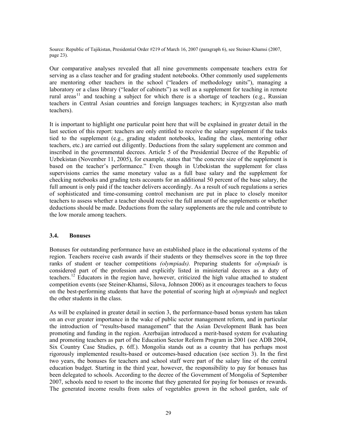Source: Republic of Tajikistan, Presidential Order #219 of March 16, 2007 (paragraph 6), see Steiner-Khamsi (2007, page 23).

Our comparative analyses revealed that all nine governments compensate teachers extra for serving as a class teacher and for grading student notebooks. Other commonly used supplements are mentoring other teachers in the school ("leaders of methodology units"), managing a laboratory or a class library ("leader of cabinets") as well as a supplement for teaching in remote rural areas<sup>[11](#page-4-0)</sup> and teaching a subject for which there is a shortage of teachers (e.g., Russian teachers in Central Asian countries and foreign languages teachers; in Kyrgyzstan also math teachers).

It is important to highlight one particular point here that will be explained in greater detail in the last section of this report: teachers are only entitled to receive the salary supplement if the tasks tied to the supplement (e.g., grading student notebooks, leading the class, mentoring other teachers, etc.) are carried out diligently. Deductions from the salary supplement are common and inscribed in the governmental decrees. Article 5 of the Presidential Decree of the Republic of Uzbekistan (November 11, 2005), for example, states that "the concrete size of the supplement is based on the teacher's performance." Even though in Uzbekistan the supplement for class supervisions carries the same monetary value as a full base salary and the supplement for checking notebooks and grading tests accounts for an additional 50 percent of the base salary, the full amount is only paid if the teacher delivers accordingly. As a result of such regulations a series of sophisticated and time-consuming control mechanism are put in place to closely monitor teachers to assess whether a teacher should receive the full amount of the supplements or whether deductions should be made. Deductions from the salary supplements are the rule and contribute to the low morale among teachers.

#### **3.4. Bonuses**

Bonuses for outstanding performance have an established place in the educational systems of the region. Teachers receive cash awards if their students or they themselves score in the top three ranks of student or teacher competitions *(olympiads).* Preparing students for *olympiads* is considered part of the profession and explicitly listed in ministerial decrees as a duty of teachers.<sup>[12](#page-4-0)</sup> Educators in the region have, however, criticized the high value attached to student competition events (see Steiner-Khamsi, Silova, Johnson 2006) as it encourages teachers to focus on the best-performing students that have the potential of scoring high at *olympiads* and neglect the other students in the class.

As will be explained in greater detail in section 3, the performance-based bonus system has taken on an ever greater importance in the wake of public sector management reform, and in particular the introduction of "results-based management" that the Asian Development Bank has been promoting and funding in the region. Azerbaijan introduced a merit-based system for evaluating and promoting teachers as part of the Education Sector Reform Program in 2001 (see ADB 2004, Six Country Case Studies, p. 6ff.). Mongolia stands out as a country that has perhaps most rigorously implemented results-based or outcomes-based education (see section 3). In the first two years, the bonuses for teachers and school staff were part of the salary line of the central education budget. Starting in the third year, however, the responsibility to pay for bonuses has been delegated to schools. According to the decree of the Government of Mongolia of September 2007, schools need to resort to the income that they generated for paying for bonuses or rewards. The generated income results from sales of vegetables grown in the school garden, sale of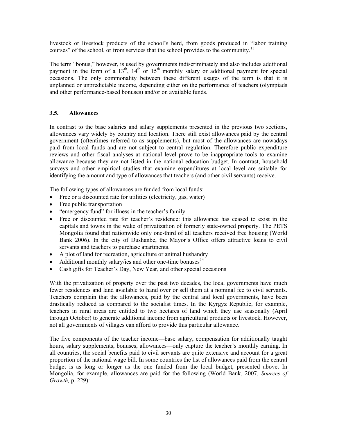livestock or livestock products of the school's herd, from goods produced in "labor training courses" of the school, or from services that the school provides to the community.<sup>[13](#page-4-0)</sup>

The term "bonus," however, is used by governments indiscriminately and also includes additional payment in the form of a  $13<sup>th</sup>$ ,  $14<sup>th</sup>$  or  $15<sup>th</sup>$  monthly salary or additional payment for special occasions. The only commonality between these different usages of the term is that it is unplanned or unpredictable income, depending either on the performance of teachers (olympiads and other performance-based bonuses) and/or on available funds.

#### **3.5. Allowances**

In contrast to the base salaries and salary supplements presented in the previous two sections, allowances vary widely by country and location. There still exist allowances paid by the central government (oftentimes referred to as supplements), but most of the allowances are nowadays paid from local funds and are not subject to central regulation. Therefore public expenditure reviews and other fiscal analyses at national level prove to be inappropriate tools to examine allowance because they are not listed in the national education budget. In contrast, household surveys and other empirical studies that examine expenditures at local level are suitable for identifying the amount and type of allowances that teachers (and other civil servants) receive.

The following types of allowances are funded from local funds:

- Free or a discounted rate for utilities (electricity, gas, water)
- Free public transportation
- "emergency fund" for illness in the teacher's family
- Free or discounted rate for teacher's residence: this allowance has ceased to exist in the capitals and towns in the wake of privatization of formerly state-owned property. The PETS Mongolia found that nationwide only one-third of all teachers received free housing (World Bank 2006). In the city of Dushanbe, the Mayor's Office offers attractive loans to civil servants and teachers to purchase apartments.
- A plot of land for recreation, agriculture or animal husbandry
- Additional monthly salary/ies and other one-time bonuses $^{14}$  $^{14}$  $^{14}$
- Cash gifts for Teacher's Day, New Year, and other special occasions

With the privatization of property over the past two decades, the local governments have much fewer residences and land available to hand over or sell them at a nominal fee to civil servants. Teachers complain that the allowances, paid by the central and local governments, have been drastically reduced as compared to the socialist times. In the Kyrgyz Republic, for example, teachers in rural areas are entitled to two hectares of land which they use seasonally (April through October) to generate additional income from agricultural products or livestock. However, not all governments of villages can afford to provide this particular allowance.

The five components of the teacher income—base salary, compensation for additionally taught hours, salary supplements, bonuses, allowances—only capture the teacher's monthly earning. In all countries, the social benefits paid to civil servants are quite extensive and account for a great proportion of the national wage bill. In some countries the list of allowances paid from the central budget is as long or longer as the one funded from the local budget, presented above. In Mongolia, for example, allowances are paid for the following (World Bank, 2007, *Sources of Growth,* p. 229):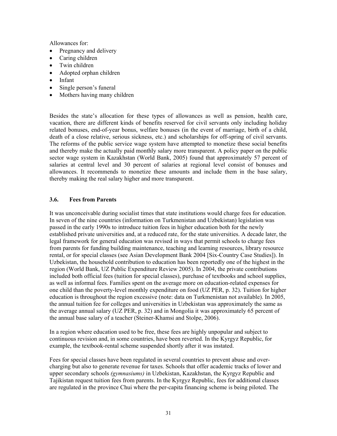Allowances for:

- Pregnancy and delivery
- Caring children
- Twin children
- Adopted orphan children
- $\bullet$  Infant
- Single person's funeral
- Mothers having many children

Besides the state's allocation for these types of allowances as well as pension, health care, vacation, there are different kinds of benefits reserved for civil servants only including holiday related bonuses, end-of-year bonus, welfare bonuses (in the event of marriage, birth of a child, death of a close relative, serious sickness, etc.) and scholarships for off-spring of civil servants. The reforms of the public service wage system have attempted to monetize these social benefits and thereby make the actually paid monthly salary more transparent. A policy paper on the public sector wage system in Kazakhstan (World Bank, 2005) found that approximately 57 percent of salaries at central level and 30 percent of salaries at regional level consist of bonuses and allowances. It recommends to monetize these amounts and include them in the base salary, thereby making the real salary higher and more transparent.

#### **3.6. Fees from Parents**

It was unconceivable during socialist times that state institutions would charge fees for education. In seven of the nine countries (information on Turkmenistan and Uzbekistan) legislation was passed in the early 1990s to introduce tuition fees in higher education both for the newly established private universities and, at a reduced rate, for the state universities. A decade later, the legal framework for general education was revised in ways that permit schools to charge fees from parents for funding building maintenance, teaching and learning resources, library resource rental, or for special classes (see Asian Development Bank 2004 [Six-Country Case Studies]). In Uzbekistan, the household contribution to education has been reportedly one of the highest in the region (World Bank, UZ Public Expenditure Review 2005). In 2004, the private contributions included both official fees (tuition for special classes), purchase of textbooks and school supplies, as well as informal fees. Families spent on the average more on education-related expenses for one child than the poverty-level monthly expenditure on food (UZ PER, p. 32). Tuition for higher education is throughout the region excessive (note: data on Turkmenistan not available). In 2005, the annual tuition fee for colleges and universities in Uzbekistan was approximately the same as the average annual salary (UZ PER, p. 32) and in Mongolia it was approximately 65 percent of the annual base salary of a teacher (Steiner-Khamsi and Stolpe, 2006).

In a region where education used to be free, these fees are highly unpopular and subject to continuous revision and, in some countries, have been reverted. In the Kyrgyz Republic, for example, the textbook-rental scheme suspended shortly after it was instated.

Fees for special classes have been regulated in several countries to prevent abuse and overcharging but also to generate revenue for taxes. Schools that offer academic tracks of lower and upper secondary schools *(gymnasiums)* in Uzbekistan, Kazakhstan, the Kyrgyz Republic and Tajikistan request tuition fees from parents. In the Kyrgyz Republic, fees for additional classes are regulated in the province Chui where the per-capita financing scheme is being piloted. The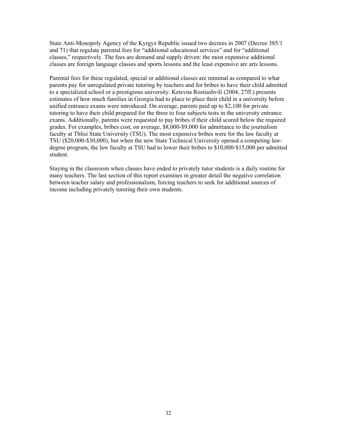State Anti-Monopoly Agency of the Kyrgyz Republic issued two decrees in 2007 (Decree 385/1 and 71) that regulate parental fees for "additional educational services" and for "additional classes," respectively. The fees are demand and supply driven: the most expensive additional classes are foreign language classes and sports lessons and the least expensive are arts lessons.

Parental fees for these regulated, special or additional classes are minimal as compared to what parents pay for unregulated private tutoring by teachers and for bribes to have their child admitted to a specialized school or a prestigious university. Ketevna Rostiashvili (2004, 27ff.) presents estimates of how much families in Georgia had to place to place their child in a university before unified entrance exams were introduced. On average, parents paid up to \$2,100 for private tutoring to have their child prepared for the three to four subjects tests in the university entrance exams. Additionally, parents were requested to pay bribes if their child scored below the required grades. For examples, bribes cost, on average, \$8,000-\$9,000 for admittance to the journalism faculty at Tblisi State University (TSU). The most expensive bribes were for the law faculty at TSU (\$20,000-\$30,000), but when the new State Technical University opened a competing lawdegree program, the law faculty at TSU had to lower their bribes to \$10,000-\$15,000 per admitted student.

Staying in the classroom when classes have ended to privately tutor students is a daily routine for many teachers. The last section of this report examines in greater detail the negative correlation between teacher salary and professionalism, forcing teachers to seek for additional sources of income including privately tutoring their own students.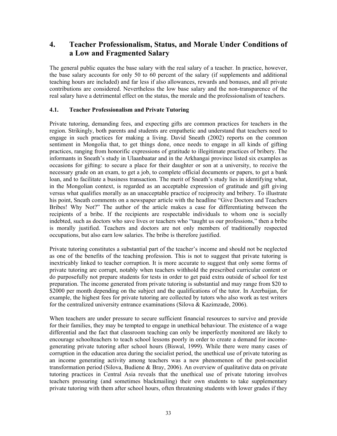## **4. Teacher Professionalism, Status, and Morale Under Conditions of a Low and Fragmented Salary**

The general public equates the base salary with the real salary of a teacher. In practice, however, the base salary accounts for only 50 to 60 percent of the salary (if supplements and additional teaching hours are included) and far less if also allowances, rewards and bonuses, and all private contributions are considered. Nevertheless the low base salary and the non-transparence of the real salary have a detrimental effect on the status, the morale and the professionalism of teachers.

#### **4.1. Teacher Professionalism and Private Tutoring**

Private tutoring, demanding fees, and expecting gifts are common practices for teachers in the region. Strikingly, both parents and students are empathetic and understand that teachers need to engage in such practices for making a living. David Sneath (2002) reports on the common sentiment in Mongolia that, to get things done, once needs to engage in all kinds of gifting practices, ranging from honorific expressions of gratitude to illegitimate practices of bribery. The informants in Sneath's study in Ulaanbaatar and in the Arkhangai province listed six examples as occasions for gifting: to secure a place for their daughter or son at a university, to receive the necessary grade on an exam, to get a job, to complete official documents or papers, to get a bank loan, and to facilitate a business transaction. The merit of Sneath's study lies in identifying what, in the Mongolian context, is regarded as an acceptable expression of gratitude and gift giving versus what qualifies morally as an unacceptable practice of reciprocity and bribery. To illustrate his point, Sneath comments on a newspaper article with the headline "Give Doctors and Teachers Bribes! Why Not?" The author of the article makes a case for differentiating between the recipients of a bribe. If the recipients are respectable individuals to whom one is socially indebted, such as doctors who save lives or teachers who "taught us our professions," then a bribe is morally justified. Teachers and doctors are not only members of traditionally respected occupations, but also earn low salaries. The bribe is therefore justified.

Private tutoring constitutes a substantial part of the teacher's income and should not be neglected as one of the benefits of the teaching profession. This is not to suggest that private tutoring is inextricably linked to teacher corruption. It is more accurate to suggest that only some forms of private tutoring are corrupt, notably when teachers withhold the prescribed curricular content or do purposefully not prepare students for tests in order to get paid extra outside of school for test preparation. The income generated from private tutoring is substantial and may range from \$20 to \$2000 per month depending on the subject and the qualifications of the tutor. In Azerbaijan, for example, the highest fees for private tutoring are collected by tutors who also work as test writers for the centralized university entrance examinations (Silova & Kazimzade, 2006).

<span id="page-33-0"></span>When teachers are under pressure to secure sufficient financial resources to survive and provide for their families, they may be tempted to engage in unethical behaviour. The existence of a wage differential and the fact that classroom teaching can only be imperfectly monitored are likely to encourage schoolteachers to teach school lessons poorly in order to create a demand for incomegenerating private tutoring after school hours (Biswal, 1999). While there were many cases of corruption in the education area during the socialist period, the unethical use of private tutoring as an income generating activity among teachers was a new phenomenon of the post-socialist transformation period (Silova, Budiene & Bray, 2006). An overview of qualitative data on private tutoring practices in Central Asia reveals that the unethical use of private tutoring involves teachers pressuring (and sometimes blackmailing) their own students to take supplementary private tutoring with them after school hours, often threatening students with lower grades if they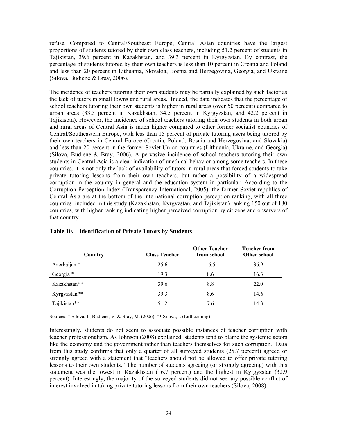refuse. Compared to Central/Southeast Europe, Central Asian countries have the largest proportions of students tutored by their own class teachers, including 51.2 percent of students in Tajikistan, 39.6 percent in Kazakhstan, and 39.3 percent in Kyrgyzstan. By contrast, the percentage of students tutored by their own teachers is less than 10 percent in Croatia and Poland and less than 20 percent in Lithuania, Slovakia, Bosnia and Herzegovina, Georgia, and Ukraine (Silova, Budiene & Bray, 2006).

The incidence of teachers tutoring their own students may be partially explained by such factor as the lack of tutors in small towns and rural areas. Indeed, the data indicates that the percentage of school teachers tutoring their own students is higher in rural areas (over 50 percent) compared to urban areas (33.5 percent in Kazakhstan, 34.5 percent in Kyrgyzstan, and 42.2 percent in Tajikistan). However, the incidence of school teachers tutoring their own students in both urban and rural areas of Central Asia is much higher compared to other former socialist countries of Central/Southeastern Europe, with less than 15 percent of private tutoring users being tutored by their own teachers in Central Europe (Croatia, Poland, Bosnia and Herzegovina, and Slovakia) and less than 20 percent in the former Soviet Union countries (Lithuania, Ukraine, and Georgia) (Silova, Budiene & Bray, 2006). A pervasive incidence of school teachers tutoring their own students in Central Asia is a clear indication of unethical behavior among some teachers. In these countries, it is not only the lack of availability of tutors in rural areas that forced students to take private tutoring lessons from their own teachers, but rather a possibility of a widespread corruption in the country in general and the education system in particular. According to the Corruption Perception Index (Transparency International, 2005), the former Soviet republics of Central Asia are at the bottom of the international corruption perception ranking, with all three countries included in this study (Kazakhstan, Kyrgyzstan, and Tajikistan) ranking 150 out of 180 countries, with higher ranking indicating higher perceived corruption by citizens and observers of that country.

| Country      | <b>Class Teacher</b> | <b>Other Teacher</b><br>from school | Teacher from<br>Other school |
|--------------|----------------------|-------------------------------------|------------------------------|
| Azerbaijan * | 25.6                 | 16.5                                | 36.9                         |
| Georgia *    | 19.3                 | 8.6                                 | 16.3                         |
| Kazakhstan** | 39.6                 | 8.8                                 | 22.0                         |
| Kyrgyzstan** | 39.3                 | 8.6                                 | 14.6                         |
| Tajikistan** | 51.2                 | 7.6                                 | 14.3                         |

#### **Table 10. Identification of Private Tutors by Students**

Sources: \* Silova, I., Budiene, V. & Bray, M. (2006), \*\* Silova, I. (forthcoming)

Interestingly, students do not seem to associate possible instances of teacher corruption with teacher professionalism. As Johnson (2008) explained, students tend to blame the systemic actors like the economy and the government rather than teachers themselves for such corruption. Data from this study confirms that only a quarter of all surveyed students (25.7 percent) agreed or strongly agreed with a statement that "teachers should not be allowed to offer private tutoring lessons to their own students." The number of students agreeing (or strongly agreeing) with this statement was the lowest in Kazakhstan (16.7 percent) and the highest in Kyrgyzstan (32.9 percent). Interestingly, the majority of the surveyed students did not see any possible conflict of interest involved in taking private tutoring lessons from their own teachers (Silova, 2008).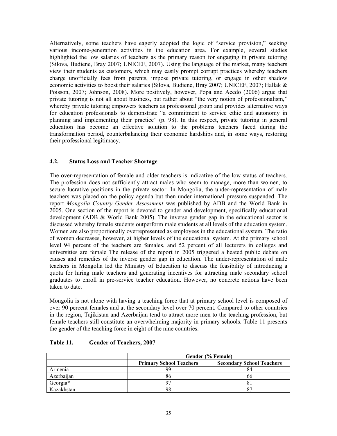Alternatively, some teachers have eagerly adopted the logic of "service provision," seeking various income-generation activities in the education area. For example, several studies highlighted the low salaries of teachers as the primary reason for engaging in private tutoring (Silova, Budiene, Bray 2007; UNICEF, 2007). Using the language of the market, many teachers view their students as customers, which may easily prompt corrupt practices whereby teachers charge unofficially fees from parents, impose private tutoring, or engage in other shadow economic activities to boost their salaries (Silova, Budiene, Bray 2007; UNICEF, 2007; Hallak & Poisson, 2007; Johnson, 2008). More positively, however, Popa and Acedo (2006) argue that private tutoring is not all about business, but rather about "the very notion of professionalism," whereby private tutoring empowers teachers as professional group and provides alternative ways for education professionals to demonstrate "a commitment to service ethic and autonomy in planning and implementing their practice" (p. 98). In this respect, private tutoring in general education has become an effective solution to the problems teachers faced during the transformation period, counterbalancing their economic hardships and, in some ways, restoring their professional legitimacy.

#### **4.2. Status Loss and Teacher Shortage**

The over-representation of female and older teachers is indicative of the low status of teachers. The profession does not sufficiently attract males who seem to manage, more than women, to secure lucrative positions in the private sector. In Mongolia, the under-representation of male teachers was placed on the policy agenda but then under international pressure suspended. The report *Mongolia Country Gender Assessment* was published by ADB and the World Bank in 2005. One section of the report is devoted to gender and development, specifically educational development (ADB & World Bank 2005). The inverse gender gap in the educational sector is discussed whereby female students outperform male students at all levels of the education system. Women are also proportionally overrepresented as employees in the educational system. The ratio of women decreases, however, at higher levels of the educational system. At the primary school level 94 percent of the teachers are females, and 52 percent of all lecturers in colleges and universities are female The release of the report in 2005 triggered a heated public debate on causes and remedies of the inverse gender gap in education. The under-representation of male teachers in Mongolia led the Ministry of Education to discuss the feasibility of introducing a quota for hiring male teachers and generating incentives for attracting male secondary school graduates to enroll in pre-service teacher education. However, no concrete actions have been taken to date.

Mongolia is not alone with having a teaching force that at primary school level is composed of over 90 percent females and at the secondary level over 70 percent. Compared to other countries in the region, Tajikistan and Azerbaijan tend to attract more men to the teaching profession, but female teachers still constitute an overwhelming majority in primary schools. Table 11 presents the gender of the teaching force in eight of the nine countries.

|            | Gender (% Female)              |                                  |  |
|------------|--------------------------------|----------------------------------|--|
|            | <b>Primary School Teachers</b> | <b>Secondary School Teachers</b> |  |
| Armenia    | QC                             | 84                               |  |
| Azerbaijan |                                | 66                               |  |
| Georgia*   |                                |                                  |  |
| Kazakhstan | 98                             |                                  |  |

#### **Table 11. Gender of Teachers, 2007**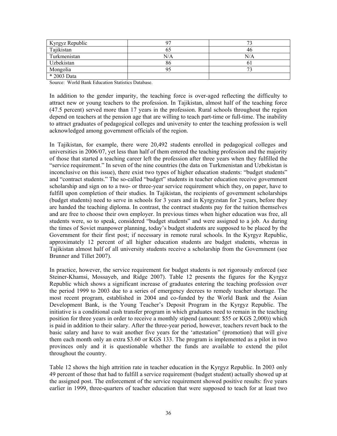| Kyrgyz Republic |     |     |
|-----------------|-----|-----|
| Tajikistan      |     | 46  |
| Turkmenistan    | N/A | N/A |
| Uzbekistan      | 86  |     |
| Mongolia        |     |     |
| * 2003 Data     |     |     |

Source: World Bank Education Statistics Database.

In addition to the gender imparity, the teaching force is over-aged reflecting the difficulty to attract new or young teachers to the profession. In Tajikistan, almost half of the teaching force (47.5 percent) served more than 17 years in the profession. Rural schools throughout the region depend on teachers at the pension age that are willing to teach part-time or full-time. The inability to attract graduates of pedagogical colleges and university to enter the teaching profession is well acknowledged among government officials of the region.

In Tajikistan, for example, there were 20,492 students enrolled in pedagogical colleges and universities in 2006/07, yet less than half of them entered the teaching profession and the majority of those that started a teaching career left the profession after three years when they fulfilled the "service requirement." In seven of the nine countries (the data on Turkmenistan and Uzbekistan is inconclusive on this issue), there exist two types of higher education students: "budget students" and "contract students." The so-called "budget" students in teacher education receive government scholarship and sign on to a two- or three-year service requirement which they, on paper, have to fulfill upon completion of their studies. In Tajikistan, the recipients of government scholarships (budget students) need to serve in schools for 3 years and in Kyrgyzstan for 2 years, before they are handed the teaching diploma. In contrast, the contract students pay for the tuition themselves and are free to choose their own employer. In previous times when higher education was free, all students were, so to speak, considered "budget students" and were assigned to a job. As during the times of Soviet manpower planning, today's budget students are supposed to be placed by the Government for their first post; if necessary in remote rural schools. In the Kyrgyz Republic, approximately 12 percent of all higher education students are budget students, whereas in Tajikistan almost half of all university students receive a scholarship from the Government (see Brunner and Tillet 2007).

In practice, however, the service requirement for budget students is not rigorously enforced (see Steiner-Khamsi, Mossayeb, and Ridge 2007). Table 12 presents the figures for the Kyrgyz Republic which shows a significant increase of graduates entering the teaching profession over the period 1999 to 2003 due to a series of emergency decrees to remedy teacher shortage. The most recent program, established in 2004 and co-funded by the World Bank and the Asian Development Bank, is the Young Teacher's Deposit Program in the Kyrgyz Republic. The initiative is a conditional cash transfer program in which graduates need to remain in the teaching position for three years in order to receive a monthly stipend (amount: \$55 or KGS 2,000)) which is paid in addition to their salary. After the three-year period, however, teachers revert back to the basic salary and have to wait another five years for the 'attestation" (promotion) that will give them each month only an extra \$3.60 or KGS 133. The program is implemented as a pilot in two provinces only and it is questionable whether the funds are available to extend the pilot throughout the country.

Table 12 shows the high attrition rate in teacher education in the Kyrgyz Republic. In 2003 only 49 percent of those that had to fulfill a service requirement (budget student) actually showed up at the assigned post. The enforcement of the service requirement showed positive results: five years earlier in 1999, three-quarters of teacher education that were supposed to teach for at least two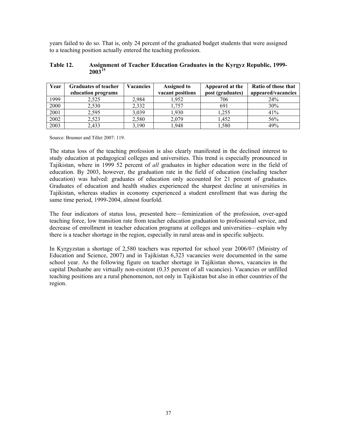years failed to do so. That is, only 24 percent of the graduated budget students that were assigned to a teaching position actually entered the teaching profession.

#### **Table 12. Assignment of Teacher Education Graduates in the Kyrgyz Republic, 1999- 2003[15](#page-4-0)**

| Year | <b>Graduates of teacher</b><br>education programs | <b>Vacancies</b> | <b>Assigned to</b><br>vacant positions | Appeared at the<br>post (graduates) | Ratio of those that<br>appeared/vacancies |
|------|---------------------------------------------------|------------------|----------------------------------------|-------------------------------------|-------------------------------------------|
| 1999 | 2,525                                             | 2,984            | 1.952                                  | 706                                 | 24%                                       |
| 2000 | 2,530                                             | 2,332            | . 757                                  | 691                                 | 30%                                       |
| 2001 | 2,595                                             | 3,039            | 1.930                                  | 1.255                               | 41%                                       |
| 2002 | 2,523                                             | 2,580            | 2,079                                  | 1.452                               | 56%                                       |
| 2003 | 2,433                                             | 3,190            | 1.948                                  | 1,580                               | 49%                                       |

Source: Brunner and Tillet 2007: 119.

The status loss of the teaching profession is also clearly manifested in the declined interest to study education at pedagogical colleges and universities. This trend is especially pronounced in Tajikistan, where in 1999 52 percent of *all* graduates in higher education were in the field of education. By 2003, however, the graduation rate in the field of education (including teacher education) was halved: graduates of education only accounted for 21 percent of graduates. Graduates of education and health studies experienced the sharpest decline at universities in Tajikistan, whereas studies in economy experienced a student enrollment that was during the same time period, 1999-2004, almost fourfold.

The four indicators of status loss, presented here—feminization of the profession, over-aged teaching force, low transition rate from teacher education graduation to professional service, and decrease of enrollment in teacher education programs at colleges and universities—explain why there is a teacher shortage in the region, especially in rural areas and in specific subjects.

In Kyrgyzstan a shortage of 2,580 teachers was reported for school year 2006/07 (Ministry of Education and Science, 2007) and in Tajikistan 6,323 vacancies were documented in the same school year. As the following figure on teacher shortage in Tajikistan shows, vacancies in the capital Dushanbe are virtually non-existent (0.35 percent of all vacancies). Vacancies or unfilled teaching positions are a rural phenomenon, not only in Tajikistan but also in other countries of the region.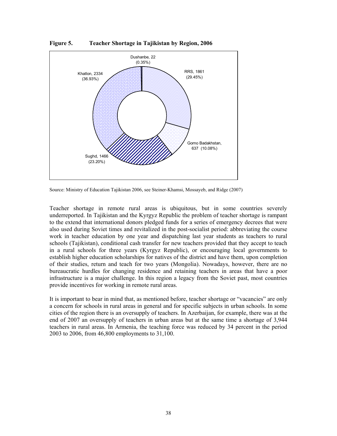

**Figure 5. Teacher Shortage in Tajikistan by Region, 2006** 

Source: Ministry of Education Tajikistan 2006, see Steiner-Khamsi, Mossayeb, and Ridge (2007)

Teacher shortage in remote rural areas is ubiquitous, but in some countries severely underreported. In Tajikistan and the Kyrgyz Republic the problem of teacher shortage is rampant to the extend that international donors pledged funds for a series of emergency decrees that were also used during Soviet times and revitalized in the post-socialist period: abbreviating the course work in teacher education by one year and dispatching last year students as teachers to rural schools (Tajikistan), conditional cash transfer for new teachers provided that they accept to teach in a rural schools for three years (Kyrgyz Republic), or encouraging local governments to establish higher education scholarships for natives of the district and have them, upon completion of their studies, return and teach for two years (Mongolia). Nowadays, however, there are no bureaucratic hurdles for changing residence and retaining teachers in areas that have a poor infrastructure is a major challenge. In this region a legacy from the Soviet past, most countries provide incentives for working in remote rural areas.

It is important to bear in mind that, as mentioned before, teacher shortage or "vacancies" are only a concern for schools in rural areas in general and for specific subjects in urban schools. In some cities of the region there is an oversupply of teachers. In Azerbaijan, for example, there was at the end of 2007 an oversupply of teachers in urban areas but at the same time a shortage of 3,944 teachers in rural areas. In Armenia, the teaching force was reduced by 34 percent in the period 2003 to 2006, from 46,800 employments to 31,100.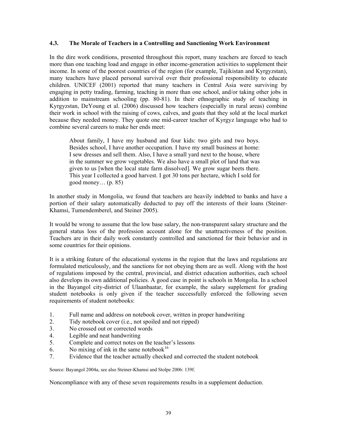#### **4.3. The Morale of Teachers in a Controlling and Sanctioning Work Environment**

In the dire work conditions, presented throughout this report, many teachers are forced to teach more than one teaching load and engage in other income-generation activities to supplement their income. In some of the poorest countries of the region (for example, Tajikistan and Kyrgyzstan), many teachers have placed personal survival over their professional responsibility to educate children. UNICEF (2001) reported that many teachers in Central Asia were surviving by engaging in petty trading, farming, teaching in more than one school, and/or taking other jobs in addition to mainstream schooling (pp. 80-81). In their ethnographic study of teaching in Kyrgyzstan, DeYoung et al. (2006) discussed how teachers (especially in rural areas) combine their work in school with the raising of cows, calves, and goats that they sold at the local market because they needed money. They quote one mid-career teacher of Kyrgyz language who had to combine several careers to make her ends meet:

About family, I have my husband and four kids: two girls and two boys. Besides school, I have another occupation. I have my small business at home: I sew dresses and sell them. Also, I have a small yard next to the house, where in the summer we grow vegetables. We also have a small plot of land that was given to us [when the local state farm dissolved]. We grow sugar beets there. This year I collected a good harvest. I got 30 tons per hectare, which I sold for good money… (p. 85)

In another study in Mongolia, we found that teachers are heavily indebted to banks and have a portion of their salary automatically deducted to pay off the interests of their loans (Steiner-Khamsi, Tumendemberel, and Steiner 2005).

It would be wrong to assume that the low base salary, the non-transparent salary structure and the general status loss of the profession account alone for the unattractiveness of the position. Teachers are in their daily work constantly controlled and sanctioned for their behavior and in some countries for their opinions.

It is a striking feature of the educational systems in the region that the laws and regulations are formulated meticulously, and the sanctions for not obeying them are as well. Along with the host of regulations imposed by the central, provincial, and district education authorities, each school also develops its own additional policies. A good case in point is schools in Mongolia. In a school in the Bayangol city-district of Ulaanbaatar, for example, the salary supplement for grading student notebooks is only given if the teacher successfully enforced the following seven requirements of student notebooks:

- 1. Full name and address on notebook cover, written in proper handwriting
- 2. Tidy notebook cover (i.e., not spoiled and not ripped)
- 3. No crossed out or corrected words
- 4. Legible and neat handwriting
- 5. Complete and correct notes on the teacher's lessons
- 6. No mixing of ink in the same notebook<sup>[16](#page-4-0)</sup>
- 7. Evidence that the teacher actually checked and corrected the student notebook

Source: Bayangol 2004a, see also Steiner-Khamsi and Stolpe 2006: 139f.

Noncompliance with any of these seven requirements results in a supplement deduction.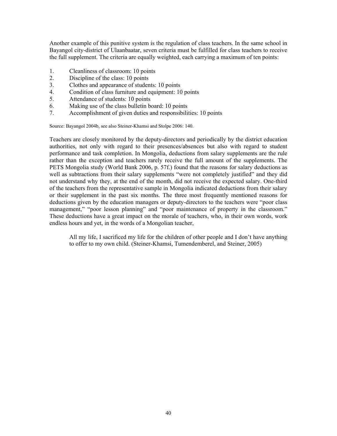Another example of this punitive system is the regulation of class teachers. In the same school in Bayangol city-district of Ulaanbaatar, seven criteria must be fulfilled for class teachers to receive the full supplement. The criteria are equally weighted, each carrying a maximum of ten points:

- 1. Cleanliness of classroom: 10 points
- 2. Discipline of the class: 10 points
- 3. Clothes and appearance of students: 10 points
- 4. Condition of class furniture and equipment: 10 points
- 5. Attendance of students: 10 points
- 6. Making use of the class bulletin board: 10 points
- 7. Accomplishment of given duties and responsibilities: 10 points

Source: Bayangol 2004b, see also Steiner-Khamsi and Stolpe 2006: 140.

Teachers are closely monitored by the deputy-directors and periodically by the district education authorities, not only with regard to their presences/absences but also with regard to student performance and task completion. In Mongolia, deductions from salary supplements are the rule rather than the exception and teachers rarely receive the full amount of the supplements. The PETS Mongolia study (World Bank 2006, p. 57f.) found that the reasons for salary deductions as well as subtractions from their salary supplements "were not completely justified" and they did not understand why they, at the end of the month, did not receive the expected salary. One-third of the teachers from the representative sample in Mongolia indicated deductions from their salary or their supplement in the past six months. The three most frequently mentioned reasons for deductions given by the education managers or deputy-directors to the teachers were "poor class management," "poor lesson planning" and "poor maintenance of property in the classroom." These deductions have a great impact on the morale of teachers, who, in their own words, work endless hours and yet, in the words of a Mongolian teacher,

All my life, I sacrificed my life for the children of other people and I don't have anything to offer to my own child. (Steiner-Khamsi, Tumendemberel, and Steiner, 2005)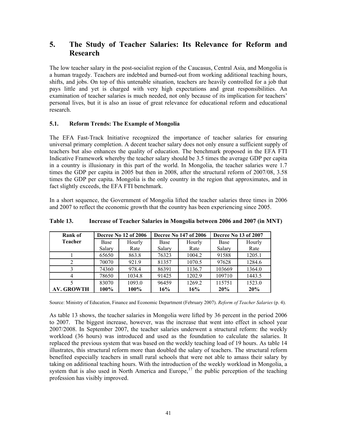## **5. The Study of Teacher Salaries: Its Relevance for Reform and Research**

The low teacher salary in the post-socialist region of the Caucasus, Central Asia, and Mongolia is a human tragedy. Teachers are indebted and burned-out from working additional teaching hours, shifts, and jobs. On top of this untenable situation, teachers are heavily controlled for a job that pays little and yet is charged with very high expectations and great responsibilities. An examination of teacher salaries is much needed, not only because of its implication for teachers' personal lives, but it is also an issue of great relevance for educational reform and educational research.

#### **5.1. Reform Trends: The Example of Mongolia**

The EFA Fast-Track Initiative recognized the importance of teacher salaries for ensuring universal primary completion. A decent teacher salary does not only ensure a sufficient supply of teachers but also enhances the quality of education. The benchmark proposed in the EFA FTI Indicative Framework whereby the teacher salary should be 3.5 times the average GDP per capita in a country is illusionary in this part of the world. In Mongolia, the teacher salaries were 1.7 times the GDP per capita in 2005 but then in 2008, after the structural reform of 2007/08, 3.58 times the GDP per capita. Mongolia is the only country in the region that approximates, and in fact slightly exceeds, the EFA FTI benchmark.

In a short sequence, the Government of Mongolia lifted the teacher salaries three times in 2006 and 2007 to reflect the economic growth that the country has been experiencing since 2005.

| Rank of           | Decree No 12 of 2006 |        | <b>Decree No 147 of 2006</b> |        | Decree No 13 of 2007 |        |
|-------------------|----------------------|--------|------------------------------|--------|----------------------|--------|
| <b>Teacher</b>    | Base                 | Hourly | Base                         | Hourly | Base                 | Hourly |
|                   | Salary               | Rate   | Salary                       | Rate   | Salary               | Rate   |
|                   | 65650                | 863.8  | 76323                        | 1004.2 | 91588                | 1205.1 |
|                   | 70070                | 921.9  | 81357                        | 1070.5 | 97628                | 1284.6 |
|                   | 74360                | 978.4  | 86391                        | 1136.7 | 103669               | 1364.0 |
| 4                 | 78650                | 1034.8 | 91425                        | 1202.9 | 109710               | 1443.5 |
|                   | 83070                | 1093.0 | 96459                        | 1269.2 | 115751               | 1523.0 |
| <b>AV. GROWTH</b> | 100%                 | 100%   | 16%                          | 16%    | 20%                  | 20%    |

**Table 13. Increase of Teacher Salaries in Mongolia between 2006 and 2007 (in MNT)** 

Source: Ministry of Education, Finance and Economic Department (February 2007). *Reform of Teacher Salaries* (p. 4).

<span id="page-41-0"></span>As table 13 shows, the teacher salaries in Mongolia were lifted by 36 percent in the period 2006 to 2007. The biggest increase, however, was the increase that went into effect in school year 2007/2008. In September 2007, the teacher salaries underwent a structural reform: the weekly workload (36 hours) was introduced and used as the foundation to calculate the salaries. It replaced the previous system that was based on the weekly teaching load of 19 hours. As table 14 illustrates, this structural reform more than doubled the salary of teachers. The structural reform benefited especially teachers in small rural schools that were not able to amass their salary by taking on additional teaching hours. With the introduction of the weekly workload in Mongolia, a system that is also used in North America and Europe,<sup>[17](#page-4-0)</sup> the public perception of the teaching profession has visibly improved.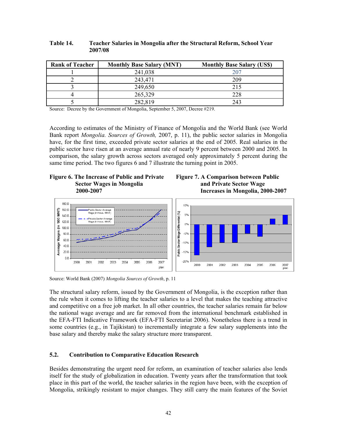| <b>Rank of Teacher</b> | <b>Monthly Base Salary (MNT)</b> | <b>Monthly Base Salary (US\$)</b> |
|------------------------|----------------------------------|-----------------------------------|
|                        | 241,038                          | 207                               |
|                        | 243,471                          | 209                               |
|                        | 249,650                          | 215                               |
|                        | 265,329                          | 228                               |
|                        | 282,819                          | 243                               |

**Table 14. Teacher Salaries in Mongolia after the Structural Reform, School Year 2007/08** 

Source: Decree by the Government of Mongolia, September 5, 2007, Decree #219.

According to estimates of the Ministry of Finance of Mongolia and the World Bank (see World Bank report *Mongolia. Sources of Growth,* 2007, p. 11), the public sector salaries in Mongolia have, for the first time, exceeded private sector salaries at the end of 2005. Real salaries in the public sector have risen at an average annual rate of nearly 9 percent between 2000 and 2005. In comparison, the salary growth across sectors averaged only approximately 5 percent during the same time period. The two figures 6 and 7 illustrate the turning point in 2005.







Source: World Bank (2007) *Mongolia Sources of Growth*, p. 11

The structural salary reform, issued by the Government of Mongolia, is the exception rather than the rule when it comes to lifting the teacher salaries to a level that makes the teaching attractive and competitive on a free job market. In all other countries, the teacher salaries remain far below the national wage average and are far removed from the international benchmark established in the EFA-FTI Indicative Framework (EFA-FTI Secretariat 2006). Nonetheless there is a trend in some countries (e.g., in Tajikistan) to incrementally integrate a few salary supplements into the base salary and thereby make the salary structure more transparent.

#### **5.2. Contribution to Comparative Education Research**

Besides demonstrating the urgent need for reform, an examination of teacher salaries also lends itself for the study of globalization in education. Twenty years after the transformation that took place in this part of the world, the teacher salaries in the region have been, with the exception of Mongolia, strikingly resistant to major changes. They still carry the main features of the Soviet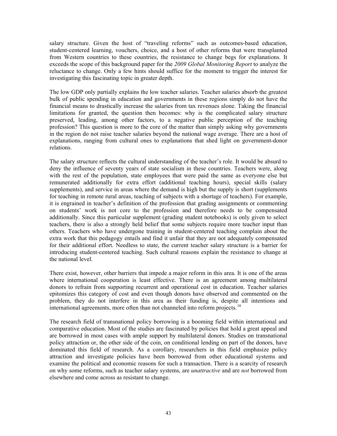salary structure. Given the host of "traveling reforms" such as outcomes-based education, student-centered learning, vouchers, choice, and a host of other reforms that were transplanted from Western countries to these countries, the resistance to change begs for explanations. It exceeds the scope of this background paper for the *2009 Global Monitoring Report* to analyze the reluctance to change. Only a few hints should suffice for the moment to trigger the interest for investigating this fascinating topic in greater depth.

The low GDP only partially explains the low teacher salaries. Teacher salaries absorb the greatest bulk of public spending in education and governments in these regions simply do not have the financial means to drastically increase the salaries from tax revenues alone. Taking the financial limitations for granted, the question then becomes: why is the complicated salary structure preserved, leading, among other factors, to a negative public perception of the teaching profession? This question is more to the core of the matter than simply asking why governments in the region do not raise teacher salaries beyond the national wage average. There are a host of explanations, ranging from cultural ones to explanations that shed light on government-donor relations.

The salary structure reflects the cultural understanding of the teacher's role. It would be absurd to deny the influence of seventy years of state socialism in these countries. Teachers were, along with the rest of the population, state employees that were paid the same as everyone else but remunerated additionally for extra effort (additional teaching hours), special skills (salary supplements), and service in areas where the demand is high but the supply is short (supplements for teaching in remote rural areas, teaching of subjects with a shortage of teachers). For example, it is engrained in teacher's definition of the profession that grading assignments or commenting on students' work is not core to the profession and therefore needs to be compensated additionally. Since this particular supplement (grading student notebooks) is only given to select teachers, there is also a strongly held belief that some subjects require more teacher input than others. Teachers who have undergone training in student-centered teaching complain about the extra work that this pedagogy entails and find it unfair that they are not adequately compensated for their additional effort. Needless to state, the current teacher salary structure is a barrier for introducing student-centered teaching. Such cultural reasons explain the resistance to change at the national level.

There exist, however, other barriers that impede a major reform in this area. It is one of the areas where international cooperation is least effective. There is an agreement among multilateral donors to refrain from supporting recurrent and operational cost in education. Teacher salaries epitomizes this category of cost and even though donors have observed and commented on the problem, they do not interfere in this area as their funding is, despite all intentions and international agreements, more often than not channeled into reform projects.<sup>[18](#page-5-0)</sup>

The research field of transnational policy borrowing is a booming field within international and comparative education. Most of the studies are fascinated by policies that hold a great appeal and are borrowed in most cases with ample support by multilateral donors. Studies on transnational policy attraction or, the other side of the coin, on conditional lending on part of the donors, have dominated this field of research. As a corollary, researchers in this field emphasize policy attraction and investigate policies have been borrowed from other educational systems and examine the political and economic reasons for such a transaction. There is a scarcity of research on why some reforms, such as teacher salary systems, are *unattractive* and are *not* borrowed from elsewhere and come across as resistant to change.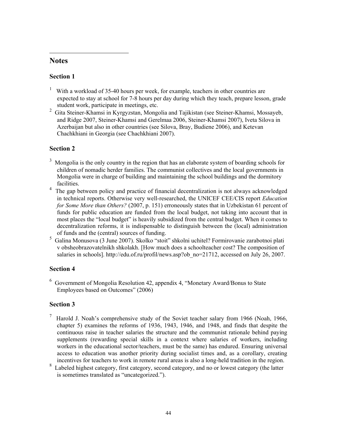## **Notes**

 $\overline{a}$ 

### **Section 1**

- 1 With a workload of 35-40 hours per week, for example, teachers in other countries are expected to stay at school for 7-8 hours per day during which they teach, prepare lesson, grade student work, participate in meetings, etc.
- <sup>2</sup> Gita Steiner-Khamsi in Kyrgyzstan, Mongolia and Tajikistan (see Steiner-Khamsi, Mossayeb, and Ridge 2007, Steiner-Khamsi and Gerelmaa 2006, Steiner-Khamsi 2007), Iveta Silova in Azerbaijan but also in other countries (see Silova, Bray, Budiene 2006), and Ketevan Chachkhiani in Georgia (see Chachkhiani 2007).

## **Section 2**

- <sup>3</sup> Mongolia is the only country in the region that has an elaborate system of boarding schools for children of nomadic herder families. The communist collectives and the local governments in Mongolia were in charge of building and maintaining the school buildings and the dormitory facilities.
- <sup>4</sup> The gap between policy and practice of financial decentralization is not always acknowledged in technical reports. Otherwise very well-researched, the UNICEF CEE/CIS report *Education for Some More than Others?* (2007, p. 151) erroneously states that in Uzbekistan 61 percent of funds for public education are funded from the local budget, not taking into account that in most places the "local budget" is heavily subsidized from the central budget. When it comes to decentralization reforms, it is indispensable to distinguish between the (local) administration of funds and the (central) sources of funding.
- 5 Galina Monusova (3 June 2007). Skolko "stoit" shkolni uchitel? Formirovanie zarabotnoi plati v obsheobrazovatelnikh shkolakh. [How much does a schoolteacher cost? The composition of salaries in schools]. http://edu.of.ru/profil/news.asp?ob\_no=21712, accessed on July 26, 2007.

## **Section 4**

6 Government of Mongolia Resolution 42, appendix 4, "Monetary Award/Bonus to State Employees based on Outcomes" (2006)

## **Section 3**

- 7 Harold J. Noah's comprehensive study of the Soviet teacher salary from 1966 (Noah, 1966, chapter 5) examines the reforms of 1936, 1943, 1946, and 1948, and finds that despite the continuous raise in teacher salaries the structure and the communist rationale behind paying supplements (rewarding special skills in a context where salaries of workers, including workers in the educational sector/teachers, must be the same) has endured. Ensuring universal access to education was another priority during socialist times and, as a corollary, creating incentives for teachers to work in remote rural areas is also a long-held tradition in the region.
- <span id="page-44-0"></span><sup>8</sup> Labeled highest category, first category, second category, and no or lowest category (the latter is sometimes translated as "uncategorized.").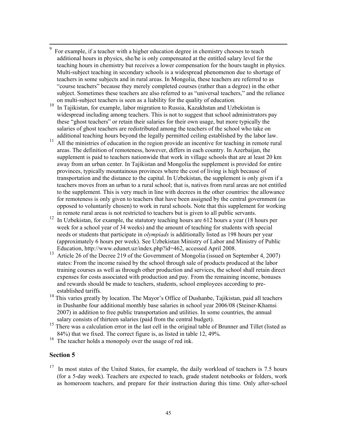- 9 For example, if a teacher with a higher education degree in chemistry chooses to teach additional hours in physics, she/he is only compensated at the entitled salary level for the teaching hours in chemistry but receives a lower compensation for the hours taught in physics. Multi-subject teaching in secondary schools is a widespread phenomenon due to shortage of teachers in some subjects and in rural areas. In Mongolia, these teachers are referred to as "course teachers" because they merely completed courses (rather than a degree) in the other subject. Sometimes these teachers are also referred to as "universal teachers," and the reliance on multi-subject teachers is seen as a liability for the quality of education.
- <sup>10</sup> In Tajikistan, for example, labor migration to Russia, Kazakhstan and Uzbekistan is widespread including among teachers. This is not to suggest that school administrators pay these "ghost teachers" or retain their salaries for their own usage, but more typically the salaries of ghost teachers are redistributed among the teachers of the school who take on additional teaching hours beyond the legally permitted ceiling established by the labor law.
- <sup>11</sup> All the ministries of education in the region provide an incentive for teaching in remote rural areas. The definition of remoteness, however, differs in each country. In Azerbaijan, the supplement is paid to teachers nationwide that work in village schools that are at least 20 km away from an urban center. In Tajikistan and Mongolia the supplement is provided for entire provinces, typically mountainous provinces where the cost of living is high because of transportation and the distance to the capital. In Uzbekistan, the supplement is only given if a teachers moves from an urban to a rural school; that is, natives from rural areas are not entitled to the supplement. This is very much in line with decrees in the other countries: the allowance for remoteness is only given to teachers that have been assigned by the central government (as opposed to voluntarily chosen) to work in rural schools. Note that this supplement for working in remote rural areas is not restricted to teachers but is given to all public servants.
- <sup>12</sup> In Uzbekistan, for example, the statutory teaching hours are 612 hours a year (18 hours per week for a school year of 34 weeks) and the amount of teaching for students with special needs or students that participate in *olympiads* is additionally listed as 198 hours per year (approximately 6 hours per week). See Uzbekistan Ministry of Labor and Ministry of Public Education, http://www.edunet.uz/index.php?id=462, accessed April 2008.
- <sup>13</sup> Article 26 of the Decree 219 of the Government of Mongolia (issued on September 4, 2007) states: From the income raised by the school through sale of products produced at the labor training courses as well as through other production and services, the school shall retain direct expenses for costs associated with production and pay. From the remaining income, bonuses and rewards should be made to teachers, students, school employees according to preestablished tariffs.
- <sup>14</sup> This varies greatly by location. The Mayor's Office of Dushanbe, Tajikistan, paid all teachers in Dushanbe four additional monthly base salaries in school year 2006/08 (Steiner-Khamsi 2007) in addition to free public transportation and utilities. In some countries, the annual salary consists of thirteen salaries (paid from the central budget).
- <sup>15</sup> There was a calculation error in the last cell in the original table of Brunner and Tillet (listed as 84%) that we fixed. The correct figure is, as listed in table 12, 49%.
- <sup>16</sup> The teacher holds a monopoly over the usage of red ink.

#### **Section 5**

 $17$  In most states of the United States, for example, the daily workload of teachers is 7.5 hours (for a 5-day week). Teachers are expected to teach, grade student notebooks or folders, work as homeroom teachers, and prepare for their instruction during this time. Only after-school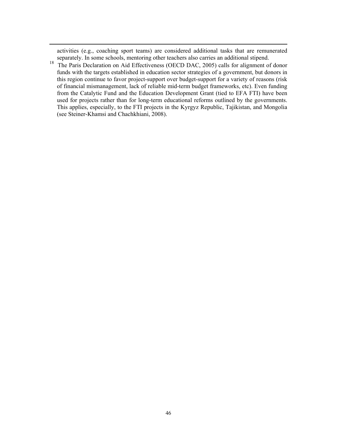activities (e.g., coaching sport teams) are considered additional tasks that are remunerated separately. In some schools, mentoring other teachers also carries an additional stipend.

 $\overline{a}$ 

<sup>18</sup> The Paris Declaration on Aid Effectiveness (OECD DAC, 2005) calls for alignment of donor funds with the targets established in education sector strategies of a government, but donors in this region continue to favor project-support over budget-support for a variety of reasons (risk of financial mismanagement, lack of reliable mid-term budget frameworks, etc). Even funding from the Catalytic Fund and the Education Development Grant (tied to EFA FTI) have been used for projects rather than for long-term educational reforms outlined by the governments. This applies, especially, to the FTI projects in the Kyrgyz Republic, Tajikistan, and Mongolia (see Steiner-Khamsi and Chachkhiani, 2008).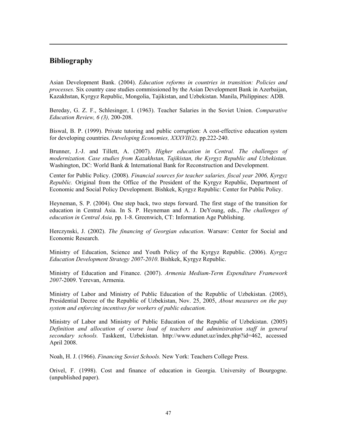## **Bibliography**

 $\overline{a}$ 

Asian Development Bank. (2004). *Education reforms in countries in transition: Policies and processes.* Six country case studies commissioned by the Asian Development Bank in Azerbaijan, Kazakhstan, Kyrgyz Republic, Mongolia, Tajikistan, and Uzbekistan. Manila, Philippines: ADB.

Bereday, G. Z. F., Schlesinger, I. (1963). Teacher Salaries in the Soviet Union. *Comparative Education Review, 6 (3),* 200-208.

Biswal, B. P. (1999). Private tutoring and public corruption: A cost-effective education system for developing countries. *Developing Economies, XXXVII(2),* pp.222-240.

Brunner, J.-J. and Tillett, A. (2007). *Higher education in Central. The challenges of modernization. Case studies from Kazakhstan, Tajikistan, the Kyrgyz Republic and Uzbekistan.*  Washington, DC: World Bank & International Bank for Reconstruction and Development.

Center for Public Policy. (2008). *Financial sources for teacher salaries, fiscal year 2006, Kyrgyz Republic.* Original from the Office of the President of the Kyrgyz Republic, Department of Economic and Social Policy Development. Bishkek, Kyrgyz Republic: Center for Public Policy.

Heyneman, S. P. (2004). One step back, two steps forward. The first stage of the transition for education in Central Asia. In S. P. Heyneman and A. J. DeYoung, eds., *The challenges of education in Central Asia,* pp. 1-8. Greenwich, CT: Information Age Publishing.

Herczynski, J. (2002). *The financing of Georgian education*. Warsaw: Center for Social and Economic Research.

Ministry of Education, Science and Youth Policy of the Kyrgyz Republic. (2006). *Kyrgyz Education Development Strategy 2007-2010*. Bishkek, Kyrgyz Republic.

Ministry of Education and Finance. (2007). *Armenia Medium-Term Expenditure Framework 2007*-2009. Yerevan, Armenia.

Ministry of Labor and Ministry of Public Education of the Republic of Uzbekistan. (2005), Presidential Decree of the Republic of Uzbekistan, Nov. 25, 2005, *About measures on the pay system and enforcing incentives for workers of public education.*

Ministry of Labor and Ministry of Public Education of the Republic of Uzbekistan. (2005) *Definition and allocation of course load of teachers and administration staff in general secondary schools.* Taskkent, Uzbekistan. http://www.edunet.uz/index.php?id=462, accessed April 2008.

Noah, H. J. (1966). *Financing Soviet Schools.* New York: Teachers College Press.

<span id="page-47-0"></span>Orivel, F. (1998). Cost and finance of education in Georgia. University of Bourgogne. (unpublished paper).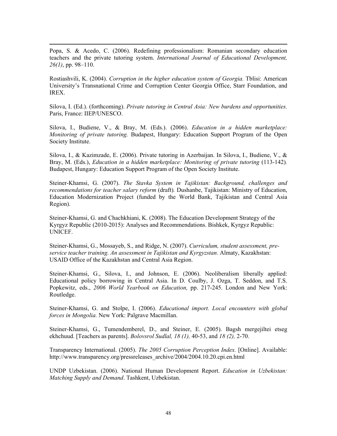Popa, S. & Acedo, C. (2006). Redefining professionalism: Romanian secondary education teachers and the private tutoring system. *International Journal of Educational Development, 26(1)*, pp. 98–110.

 $\overline{a}$ 

Rostiashvili, K. (2004). *Corruption in the higher education system of Georgia.* Tblisi: American University's Transnational Crime and Corruption Center Georgia Office, Starr Foundation, and IREX.

Silova, I. (Ed.). (forthcoming). *Private tutoring in Central Asia: New burdens and opportunities.*  Paris, France: IIEP/UNESCO.

Silova, I., Budiene, V., & Bray, M. (Eds.). (2006). *Education in a hidden marketplace: Monitoring of private tutoring.* Budapest, Hungary: Education Support Program of the Open Society Institute.

Silova, I., & Kazimzade, E. (2006). Private tutoring in Azerbaijan. In Silova, I., Budiene, V., & Bray, M. (Eds.), *Education in a hidden marketplace: Monitoring of private tutoring* (113-142)*.*  Budapest, Hungary: Education Support Program of the Open Society Institute.

Steiner-Khamsi, G. (2007). *The Stavka System in Tajikistan: Background, challenges and recommendations for teacher salary reform* (draft)*.* Dushanbe, Tajikistan: Ministry of Education, Education Modernization Project (funded by the World Bank, Tajikistan and Central Asia Region).

Steiner-Khamsi, G. and Chachkhiani, K. (2008). The Education Development Strategy of the Kyrgyz Republic (2010-2015): Analyses and Recommendations. Bishkek, Kyrgyz Republic: UNICEF.

Steiner-Khamsi, G., Mossayeb, S., and Ridge, N. (2007). *Curriculum, student assessment, preservice teacher training. An assessment in Tajikistan and Kyrgyzstan.* Almaty, Kazakhstan: USAID Office of the Kazakhstan and Central Asia Region.

Steiner-Khamsi, G., Silova, I., and Johnson, E. (2006). Neoliberalism liberally applied: Educational policy borrowing in Central Asia. In D. Coulby, J. Ozga, T. Seddon, and T.S. Popkewitz, eds., *2006 World Yearbook on Education,* pp. 217-245. London and New York: Routledge.

Steiner-Khamsi, G. and Stolpe, I. (2006). *Educational import. Local encounters with global forces in Mongolia.* New York: Palgrave Macmillan.

Steiner-Khamsi, G., Tumendemberel, D., and Steiner, E. (2005). Bagsh mergejiltei etseg ekhchuud. [Teachers as parents]. *Bolovsrol Sudlal, 18 (1),* 40-53, and *18 (2),* 2-70.

Transparency International. (2005). *The 2005 Corruption Perception Index.* [Online]. Available: http://www.transparency.org/pressreleases\_archive/2004/2004.10.20.cpi.en.html

UNDP Uzbekistan. (2006). National Human Development Report. *Education in Uzbekistan: Matching Supply and Demand*. Tashkent, Uzbekistan.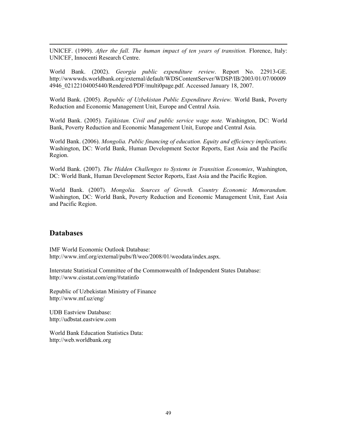UNICEF. (1999). *After the fall. The human impact of ten years of transition.* Florence, Italy: UNICEF, Innocenti Research Centre.

World Bank. (2002). *Georgia public expenditure review*. Report No. 22913-GE. http://wwwwds.worldbank.org/external/default/WDSContentServer/WDSP/IB/2003/01/07/00009 4946\_02122104005440/Rendered/PDF/multi0page.pdf. Accessed January 18, 2007.

World Bank. (2005). *Republic of Uzbekistan Public Expenditure Review.* World Bank, Poverty Reduction and Economic Management Unit, Europe and Central Asia.

World Bank. (2005). *Tajikistan. Civil and public service wage note.* Washington, DC: World Bank, Poverty Reduction and Economic Management Unit, Europe and Central Asia.

World Bank. (2006). *Mongolia. Public financing of education. Equity and efficiency implications.*  Washington, DC: World Bank, Human Development Sector Reports, East Asia and the Pacific Region.

World Bank. (2007). *The Hidden Challenges to Systems in Transition Economies*, Washington, DC: World Bank, Human Development Sector Reports, East Asia and the Pacific Region.

World Bank. (2007). *Mongolia. Sources of Growth. Country Economic Memorandum.*  Washington, DC: World Bank, Poverty Reduction and Economic Management Unit, East Asia and Pacific Region.

## **Databases**

 $\overline{a}$ 

IMF World Economic Outlook Database: http://www.imf.org/external/pubs/ft/weo/2008/01/weodata/index.aspx.

Interstate Statistical Committee of the Commonwealth of Independent States Database: http://www.cisstat.com/eng/#statinfo

Republic of Uzbekistan Ministry of Finance http://www.mf.uz/eng/

UDB Eastview Database: http://udbstat.eastview.com

World Bank Education Statistics Data: http://web.worldbank.org